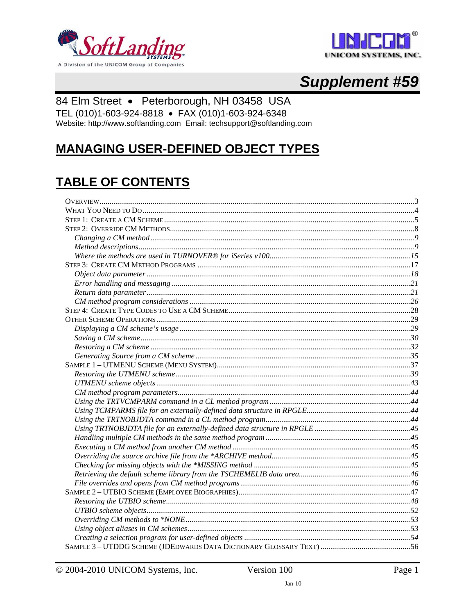



# **Supplement #59**

## 84 Elm Street · Peterborough, NH 03458 USA

TEL (010)1-603-924-8818 · FAX (010)1-603-924-6348

Website: http://www.softlanding.com Email: techsupport@softlanding.com

# **MANAGING USER-DEFINED OBJECT TYPES**

# **TABLE OF CONTENTS**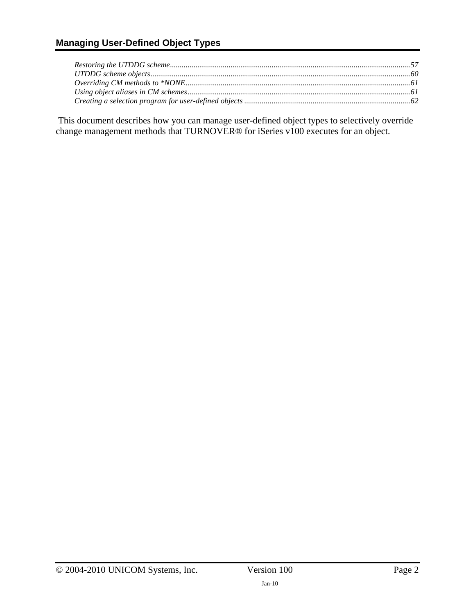### **Managing User-Defined Object Types**

 This document describes how you can manage user-defined object types to selectively override change management methods that TURNOVER® for iSeries v100 executes for an object.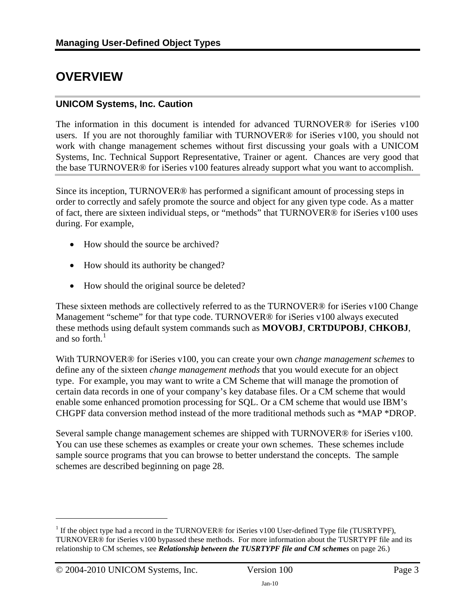# <span id="page-2-1"></span><span id="page-2-0"></span>**OVERVIEW**

#### **UNICOM Systems, Inc. Caution**

The information in this document is intended for advanced TURNOVER® for iSeries v100 users. If you are not thoroughly familiar with TURNOVER® for iSeries v100, you should not work with change management schemes without first discussing your goals with a UNICOM Systems, Inc. Technical Support Representative, Trainer or agent. Chances are very good that the base TURNOVER® for iSeries v100 features already support what you want to accomplish.

Since its inception, TURNOVER® has performed a significant amount of processing steps in order to correctly and safely promote the source and object for any given type code. As a matter of fact, there are sixteen individual steps, or "methods" that TURNOVER® for iSeries v100 uses during. For example,

- How should the source be archived?
- How should its authority be changed?
- How should the original source be deleted?

These sixteen methods are collectively referred to as the TURNOVER® for iSeries v100 Change Management "scheme" for that type code. TURNOVER® for iSeries v100 always executed these methods using default system commands such as **MOVOBJ**, **CRTDUPOBJ**, **CHKOBJ**, and so forth. $<sup>1</sup>$  $<sup>1</sup>$  $<sup>1</sup>$ </sup>

With TURNOVER® for iSeries v100, you can create your own *change management schemes* to define any of the sixteen *change management methods* that you would execute for an object type. For example, you may want to write a CM Scheme that will manage the promotion of certain data records in one of your company's key database files. Or a CM scheme that would enable some enhanced promotion processing for SQL. Or a CM scheme that would use IBM's CHGPF data conversion method instead of the more traditional methods such as \*MAP \*DROP.

Several sample change management schemes are shipped with TURNOVER® for iSeries v100. You can use these schemes as examples or create your own schemes. These schemes include sample source programs that you can browse to better understand the concepts. The sample schemes are described beginning on page [28](#page-36-2).

 $\overline{a}$ 

<span id="page-2-2"></span><sup>&</sup>lt;sup>1</sup> If the object type had a record in the TURNOVER® for iSeries v100 User-defined Type file (TUSRTYPF), TURNOVER® for iSeries v100 bypassed these methods. For more information about the TUSRTYPF file and its relationship to CM schemes, see *Relationship between the TUSRTYPF file and CM schemes* on page 26.)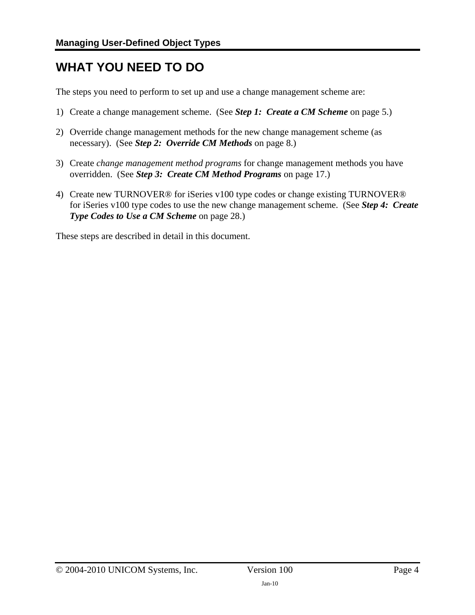# <span id="page-3-1"></span><span id="page-3-0"></span>**WHAT YOU NEED TO DO**

The steps you need to perform to set up and use a change management scheme are:

- 1) Create a change management scheme. (See *[Step 1: Create a CM Scheme](#page-4-1)* on page [5](#page-4-1).)
- 2) Override change management methods for the new change management scheme (as necessary). (See *[Step 2: Override CM Methods](#page-7-1)* on page [8.](#page-7-1))
- 3) Create *change management method programs* for change management methods you have overridden. (See *[Step 3: Create CM Method Programs](#page-16-1)* on page [17.](#page-16-1))
- 4) Create new TURNOVER® for iSeries v100 type codes or change existing TURNOVER® for iSeries v100 type codes to use the new change management scheme. (See *[Step 4: Create](#page-27-1)  [Type Codes to Use a CM Scheme](#page-27-1)* on page [28](#page-27-1).)

These steps are described in detail in this document.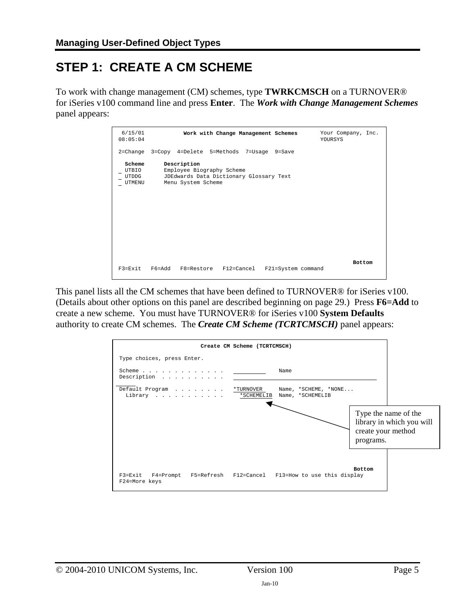# <span id="page-4-1"></span><span id="page-4-0"></span>**STEP 1: CREATE A CM SCHEME**

To work with change management (CM) schemes, type **TWRKCMSCH** on a TURNOVER® for iSeries v100 command line and press **Enter**. The *Work with Change Management Schemes* panel appears:

| 6/15/01<br>08:05:04                |                                                                                                           | Work with Change Management Schemes |                    | Your Company, Inc.<br>YOURSYS |
|------------------------------------|-----------------------------------------------------------------------------------------------------------|-------------------------------------|--------------------|-------------------------------|
|                                    | 2=Change 3=Copy 4=Delete 5=Methods 7=Usage 9=Save                                                         |                                     |                    |                               |
| Scheme<br>UTBIO<br>UTDDG<br>UTMENU | Description<br>Employee Biography Scheme<br>JDEdwards Data Dictionary Glossary Text<br>Menu System Scheme |                                     |                    |                               |
| $F3 = Fx$ it                       | P6=Add                                                                                                    | F8=Restore F12=Cancel               | F21=System command | <b>Bottom</b>                 |

This panel lists all the CM schemes that have been defined to TURNOVER® for iSeries v100. (Details about other options on this panel are described beginning on page [29.](#page-28-1)) Press **F6=Add** to create a new scheme. You must have TURNOVER® for iSeries v100 **System Defaults** authority to create CM schemes. The *Create CM Scheme (TCRTCMSCH)* panel appears:

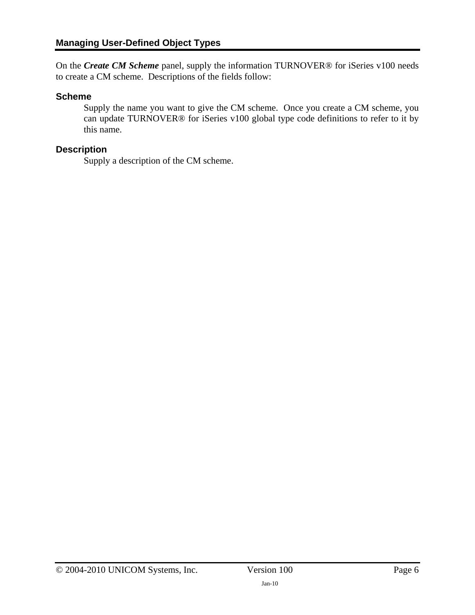On the *Create CM Scheme* panel, supply the information TURNOVER® for iSeries v100 needs to create a CM scheme. Descriptions of the fields follow:

#### **Scheme**

Supply the name you want to give the CM scheme. Once you create a CM scheme, you can update TURNOVER® for iSeries v100 global type code definitions to refer to it by this name.

#### **Description**

Supply a description of the CM scheme.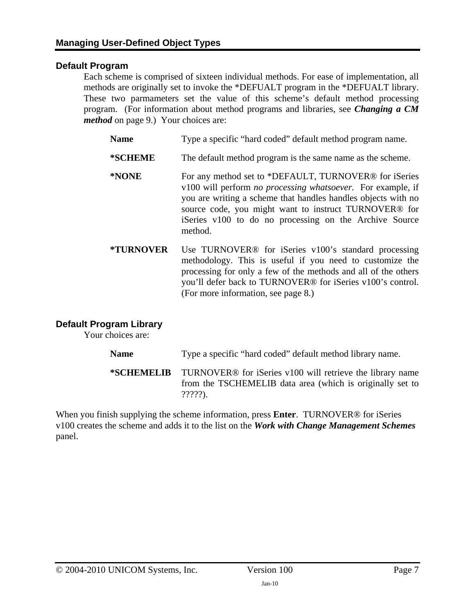#### **Default Program**

Each scheme is comprised of sixteen individual methods. For ease of implementation, all methods are originally set to invoke the \*DEFUALT program in the \*DEFUALT library. These two parmameters set the value of this scheme's default method processing program. (For information about method programs and libraries, see *[Changing a CM](#page-8-1)  [method](#page-8-1)* on page [9](#page-8-1).) Your choices are:

- Name Type a specific "hard coded" default method program name. **\*SCHEME** The default method program is the same name as the scheme. **\*NONE** For any method set to \*DEFAULT, TURNOVER® for iSeries v100 will perform *no processing whatsoever.* For example, if you are writing a scheme that handles handles objects with no source code, you might want to instruct TURNOVER® for iSeries v100 to do no processing on the Archive Source method.
- **\*TURNOVER** Use TURNOVER® for iSeries v100's standard processing methodology. This is useful if you need to customize the processing for only a few of the methods and all of the others you'll defer back to TURNOVER® for iSeries v100's control. (For more information, see page [8.](#page-7-1))

#### **Default Program Library**

Your choices are:

Name Type a specific "hard coded" default method library name.

**\*SCHEMELIB** TURNOVER® for iSeries v100 will retrieve the library name from the TSCHEMELIB data area (which is originally set to ?????).

When you finish supplying the scheme information, press **Enter**. TURNOVER® for iSeries v100 creates the scheme and adds it to the list on the *Work with Change Management Schemes* panel.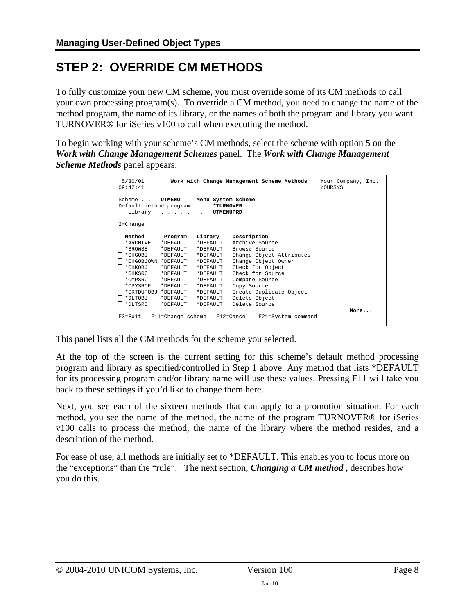# <span id="page-7-1"></span><span id="page-7-0"></span>**STEP 2: OVERRIDE CM METHODS**

To fully customize your new CM scheme, you must override some of its CM methods to call your own processing program(s). To override a CM method, you need to change the name of the method program, the name of its library, or the names of both the program and library you want TURNOVER® for iSeries v100 to call when executing the method.

To begin working with your scheme's CM methods, select the scheme with option **5** on the *Work with Change Management Schemes* panel. The *Work with Change Management Scheme Methods* panel appears:

| 5/30/01<br>09:42:41                                                                                                                                                         |                                                                                    |                                                                                                                                                      | Work with Change Management Scheme Methods                                                                                                                                                                                              | Your Company, Inc.<br><b>YOURSYS</b> |
|-----------------------------------------------------------------------------------------------------------------------------------------------------------------------------|------------------------------------------------------------------------------------|------------------------------------------------------------------------------------------------------------------------------------------------------|-----------------------------------------------------------------------------------------------------------------------------------------------------------------------------------------------------------------------------------------|--------------------------------------|
| Scheme UTMENU Menu System Scheme<br>Default method program *TURNOVER<br>Library UTMENUPRD                                                                                   |                                                                                    |                                                                                                                                                      |                                                                                                                                                                                                                                         |                                      |
| $2$ =Change                                                                                                                                                                 |                                                                                    |                                                                                                                                                      |                                                                                                                                                                                                                                         |                                      |
| Method<br>*ARCHIVE *DEFAULT<br>*BROWSE<br>*CHGOBJ<br>*CHGOBJOWN *DEFAULT<br>*CHKOBJ<br>*CHKSRC<br>*CMPSRC<br>*CPYSRCF *DEFAULT<br>*CRTDUPOBJ *DEFAULT<br>*DLTOBJ<br>*DLTSRC | Program<br>* DEFAULT<br>* DEFAULT<br>*DEFAULT<br>*DEFAULT<br>* DEFAULT<br>*DEFAULT | Library<br>*DEFAULT<br>*DEFAULT<br>*DEFAULT<br>*DEFAULT<br>*DEFAULT<br>*DEFAULT<br>*DEFAULT<br>*DEFAULT<br>*DEFAULT<br>*DEFAULT *DEFAULT<br>*DEFAULT | Description<br>Archive Source<br>Browse Source<br>Change Object Attributes<br>Change Object Owner<br>Check for Object<br>Check for Source<br>Compare Source<br>Copy Source<br>Create Duplicate Object<br>Delete Object<br>Delete Source |                                      |
|                                                                                                                                                                             |                                                                                    |                                                                                                                                                      | F3=Exit F11=Change scheme F12=Cancel F21=System command                                                                                                                                                                                 | More                                 |

This panel lists all the CM methods for the scheme you selected.

At the top of the screen is the current setting for this scheme's default method processing program and library as specified/controlled in Step 1 above. Any method that lists \*DEFAULT for its processing program and/or library name will use these values. Pressing F11 will take you back to these settings if you'd like to change them here.

Next, you see each of the sixteen methods that can apply to a promotion situation. For each method, you see the name of the method, the name of the program TURNOVER® for iSeries v100 calls to process the method, the name of the library where the method resides, and a description of the method.

For ease of use, all methods are initially set to \*DEFAULT. This enables you to focus more on the "exceptions" than the "rule". The next section, *[Changing a CM method](#page-8-1)* , describes how you do this.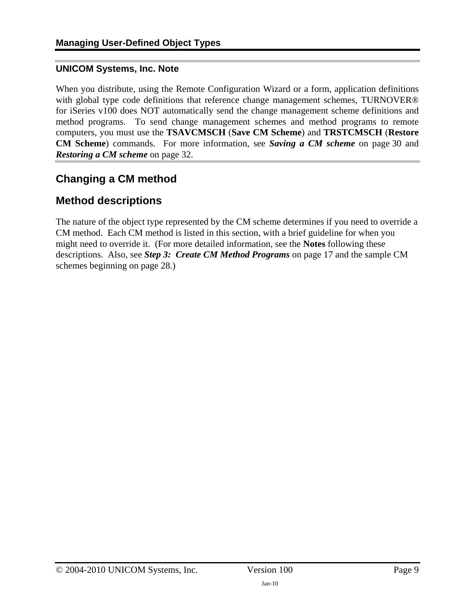#### <span id="page-8-0"></span>**UNICOM Systems, Inc. Note**

When you distribute, using the Remote Configuration Wizard or a form, application definitions with global type code definitions that reference change management schemes, TURNOVER® for iSeries v100 does NOT automatically send the change management scheme definitions and method programs. To send change management schemes and method programs to remote computers, you must use the **TSAVCMSCH** (**Save CM Scheme**) and **TRSTCMSCH** (**Restore CM Scheme**) commands. For more information, see *[Saving a CM scheme](#page-29-1)* on page [30](#page-29-1) and *[Restoring a CM scheme](#page-31-1)* on page [32](#page-31-1).

## <span id="page-8-1"></span>**Changing a CM method**

### <span id="page-8-2"></span>**Method descriptions**

The nature of the object type represented by the CM scheme determines if you need to override a CM method. Each CM method is listed in this section, with a brief guideline for when you might need to override it. (For more detailed information, see the **Notes** following these descriptions. Also, see *[Step 3: Create CM Method Programs](#page-16-1)* on page [17](#page-16-1) and the sample CM schemes beginning on page [28](#page-36-2).)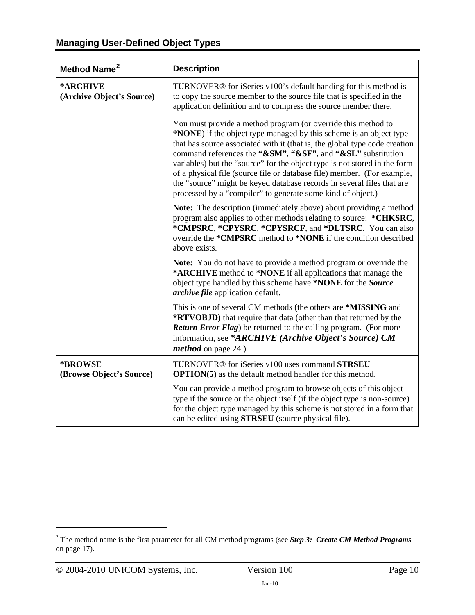<span id="page-9-1"></span>

| Method Name <sup>2</sup>              | <b>Description</b>                                                                                                                                                                                                                                                                                                                                                                                                                                                                                                                                                                |
|---------------------------------------|-----------------------------------------------------------------------------------------------------------------------------------------------------------------------------------------------------------------------------------------------------------------------------------------------------------------------------------------------------------------------------------------------------------------------------------------------------------------------------------------------------------------------------------------------------------------------------------|
| *ARCHIVE<br>(Archive Object's Source) | TURNOVER <sup>®</sup> for iSeries v100's default handing for this method is<br>to copy the source member to the source file that is specified in the<br>application definition and to compress the source member there.                                                                                                                                                                                                                                                                                                                                                           |
|                                       | You must provide a method program (or override this method to<br>*NONE) if the object type managed by this scheme is an object type<br>that has source associated with it (that is, the global type code creation<br>command references the "&SM", "&SF", and "&SL" substitution<br>variables) but the "source" for the object type is not stored in the form<br>of a physical file (source file or database file) member. (For example,<br>the "source" might be keyed database records in several files that are<br>processed by a "compiler" to generate some kind of object.) |
|                                       | Note: The description (immediately above) about providing a method<br>program also applies to other methods relating to source: *CHKSRC,<br>*CMPSRC, *CPYSRC, *CPYSRCF, and *DLTSRC. You can also<br>override the *CMPSRC method to *NONE if the condition described<br>above exists.                                                                                                                                                                                                                                                                                             |
|                                       | Note: You do not have to provide a method program or override the<br>*ARCHIVE method to *NONE if all applications that manage the<br>object type handled by this scheme have *NONE for the Source<br>archive file application default.                                                                                                                                                                                                                                                                                                                                            |
|                                       | This is one of several CM methods (the others are *MISSING and<br>*RTVOBJD) that require that data (other than that returned by the<br><b>Return Error Flag)</b> be returned to the calling program. (For more<br>information, see *ARCHIVE (Archive Object's Source) CM<br><i>method</i> on page 24.)                                                                                                                                                                                                                                                                            |
| *BROWSE<br>(Browse Object's Source)   | TURNOVER® for iSeries v100 uses command STRSEU<br><b>OPTION(5)</b> as the default method handler for this method.                                                                                                                                                                                                                                                                                                                                                                                                                                                                 |
|                                       | You can provide a method program to browse objects of this object<br>type if the source or the object itself (if the object type is non-source)<br>for the object type managed by this scheme is not stored in a form that<br>can be edited using <b>STRSEU</b> (source physical file).                                                                                                                                                                                                                                                                                           |

 $\overline{a}$ 

<span id="page-9-0"></span><sup>2</sup> The method name is the first parameter for all CM method programs (see *Step 3: Create CM Method Programs* on page 17).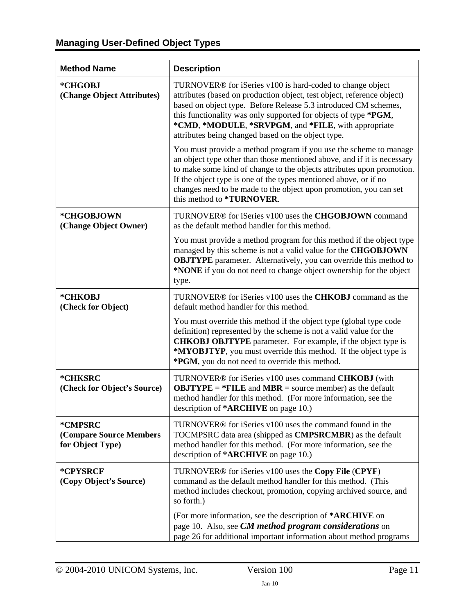# **Managing User-Defined Object Types**

| <b>Method Name</b>                                     | <b>Description</b>                                                                                                                                                                                                                                                                                                                                                                                 |
|--------------------------------------------------------|----------------------------------------------------------------------------------------------------------------------------------------------------------------------------------------------------------------------------------------------------------------------------------------------------------------------------------------------------------------------------------------------------|
| *CHGOBJ<br>(Change Object Attributes)                  | TURNOVER <sup>®</sup> for iSeries v100 is hard-coded to change object<br>attributes (based on production object, test object, reference object)<br>based on object type. Before Release 5.3 introduced CM schemes,<br>this functionality was only supported for objects of type *PGM,<br>*CMD, *MODULE, *SRVPGM, and *FILE, with appropriate<br>attributes being changed based on the object type. |
|                                                        | You must provide a method program if you use the scheme to manage<br>an object type other than those mentioned above, and if it is necessary<br>to make some kind of change to the objects attributes upon promotion.<br>If the object type is one of the types mentioned above, or if no<br>changes need to be made to the object upon promotion, you can set<br>this method to *TURNOVER.        |
| *CHGOBJOWN<br>(Change Object Owner)                    | TURNOVER® for iSeries v100 uses the CHGOBJOWN command<br>as the default method handler for this method.                                                                                                                                                                                                                                                                                            |
|                                                        | You must provide a method program for this method if the object type<br>managed by this scheme is not a valid value for the CHGOBJOWN<br><b>OBJTYPE</b> parameter. Alternatively, you can override this method to<br>*NONE if you do not need to change object ownership for the object<br>type.                                                                                                   |
| *CHKOBJ<br>(Check for Object)                          | TURNOVER® for iSeries v100 uses the CHKOBJ command as the<br>default method handler for this method.                                                                                                                                                                                                                                                                                               |
|                                                        | You must override this method if the object type (global type code<br>definition) represented by the scheme is not a valid value for the<br><b>CHKOBJ OBJTYPE</b> parameter. For example, if the object type is<br>*MYOBJTYP, you must override this method. If the object type is<br>*PGM, you do not need to override this method.                                                               |
| *CHKSRC<br>(Check for Object's Source)                 | TURNOVER® for iSeries v100 uses command CHKOBJ (with<br><b>OBJTYPE</b> = $*$ <b>FILE</b> and <b>MBR</b> = source member) as the default<br>method handler for this method. (For more information, see the<br>description of *ARCHIVE on page 10.)                                                                                                                                                  |
| *CMPSRC<br>(Compare Source Members<br>for Object Type) | TURNOVER <sup>®</sup> for iSeries v100 uses the command found in the<br>TOCMPSRC data area (shipped as <b>CMPSRCMBR</b> ) as the default<br>method handler for this method. (For more information, see the<br>description of *ARCHIVE on page 10.)                                                                                                                                                 |
| *CPYSRCF<br>(Copy Object's Source)                     | TURNOVER <sup>®</sup> for iSeries v100 uses the Copy File (CPYF)<br>command as the default method handler for this method. (This<br>method includes checkout, promotion, copying archived source, and<br>so forth.)                                                                                                                                                                                |
|                                                        | (For more information, see the description of *ARCHIVE on<br>page 10. Also, see CM method program considerations on<br>page 26 for additional important information about method programs                                                                                                                                                                                                          |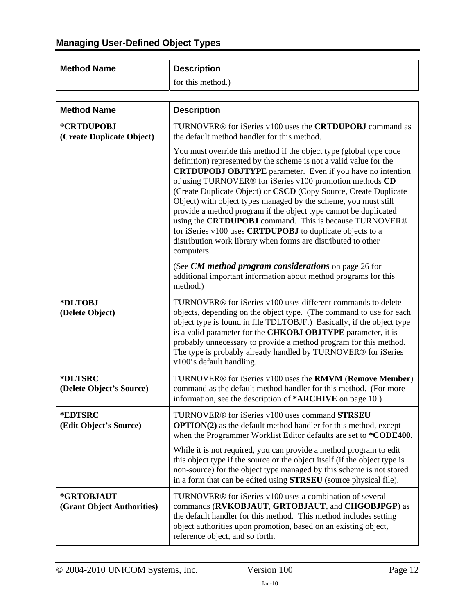| <b>Method Name</b> | <b>Description</b> |
|--------------------|--------------------|
|                    | for this method.)  |

| <b>Method Name</b>                       | <b>Description</b>                                                                                                                                                                                                                                                                                                                                                                                                                                                                                                                                                                                                                                                                         |
|------------------------------------------|--------------------------------------------------------------------------------------------------------------------------------------------------------------------------------------------------------------------------------------------------------------------------------------------------------------------------------------------------------------------------------------------------------------------------------------------------------------------------------------------------------------------------------------------------------------------------------------------------------------------------------------------------------------------------------------------|
| *CRTDUPOBJ<br>(Create Duplicate Object)  | TURNOVER® for iSeries v100 uses the <b>CRTDUPOBJ</b> command as<br>the default method handler for this method.                                                                                                                                                                                                                                                                                                                                                                                                                                                                                                                                                                             |
|                                          | You must override this method if the object type (global type code<br>definition) represented by the scheme is not a valid value for the<br><b>CRTDUPOBJ OBJTYPE</b> parameter. Even if you have no intention<br>of using TURNOVER® for iSeries v100 promotion methods CD<br>(Create Duplicate Object) or CSCD (Copy Source, Create Duplicate<br>Object) with object types managed by the scheme, you must still<br>provide a method program if the object type cannot be duplicated<br>using the CRTDUPOBJ command. This is because TURNOVER®<br>for iSeries v100 uses CRTDUPOBJ to duplicate objects to a<br>distribution work library when forms are distributed to other<br>computers. |
|                                          | (See CM method program considerations on page 26 for<br>additional important information about method programs for this<br>method.)                                                                                                                                                                                                                                                                                                                                                                                                                                                                                                                                                        |
| *DLTOBJ<br>(Delete Object)               | TURNOVER® for iSeries v100 uses different commands to delete<br>objects, depending on the object type. (The command to use for each<br>object type is found in file TDLTOBJF.) Basically, if the object type<br>is a valid parameter for the CHKOBJ OBJTYPE parameter, it is<br>probably unnecessary to provide a method program for this method.<br>The type is probably already handled by TURNOVER® for iSeries<br>v100's default handling.                                                                                                                                                                                                                                             |
| *DLTSRC<br>(Delete Object's Source)      | TURNOVER <sup>®</sup> for iSeries v100 uses the <b>RMVM</b> (Remove Member)<br>command as the default method handler for this method. (For more<br>information, see the description of *ARCHIVE on page 10.)                                                                                                                                                                                                                                                                                                                                                                                                                                                                               |
| *EDTSRC<br>(Edit Object's Source)        | TURNOVER <sup>®</sup> for iSeries v100 uses command <b>STRSEU</b><br><b>OPTION(2)</b> as the default method handler for this method, except<br>when the Programmer Worklist Editor defaults are set to *CODE400.                                                                                                                                                                                                                                                                                                                                                                                                                                                                           |
|                                          | While it is not required, you can provide a method program to edit<br>this object type if the source or the object itself (if the object type is<br>non-source) for the object type managed by this scheme is not stored<br>in a form that can be edited using STRSEU (source physical file).                                                                                                                                                                                                                                                                                                                                                                                              |
| *GRTOBJAUT<br>(Grant Object Authorities) | TURNOVER® for iSeries v100 uses a combination of several<br>commands (RVKOBJAUT, GRTOBJAUT, and CHGOBJPGP) as<br>the default handler for this method. This method includes setting<br>object authorities upon promotion, based on an existing object,<br>reference object, and so forth.                                                                                                                                                                                                                                                                                                                                                                                                   |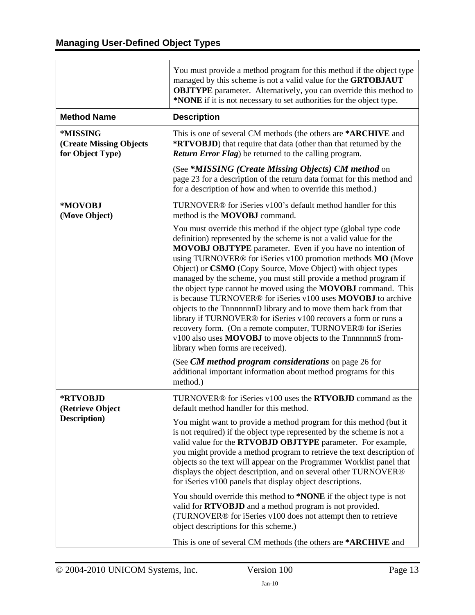<span id="page-12-0"></span>

|                                                                | You must provide a method program for this method if the object type<br>managed by this scheme is not a valid value for the GRTOBJAUT<br><b>OBJTYPE</b> parameter. Alternatively, you can override this method to<br>*NONE if it is not necessary to set authorities for the object type.                                                                                                                                                                                                                                                                                                                                                                                                                                                                                                                                                               |
|----------------------------------------------------------------|---------------------------------------------------------------------------------------------------------------------------------------------------------------------------------------------------------------------------------------------------------------------------------------------------------------------------------------------------------------------------------------------------------------------------------------------------------------------------------------------------------------------------------------------------------------------------------------------------------------------------------------------------------------------------------------------------------------------------------------------------------------------------------------------------------------------------------------------------------|
| <b>Method Name</b>                                             | <b>Description</b>                                                                                                                                                                                                                                                                                                                                                                                                                                                                                                                                                                                                                                                                                                                                                                                                                                      |
| *MISSING<br><b>(Create Missing Objects</b><br>for Object Type) | This is one of several CM methods (the others are *ARCHIVE and<br>*RTVOBJD) that require that data (other than that returned by the<br>Return Error Flag) be returned to the calling program.                                                                                                                                                                                                                                                                                                                                                                                                                                                                                                                                                                                                                                                           |
|                                                                | (See *MISSING (Create Missing Objects) CM method on<br>page 23 for a description of the return data format for this method and<br>for a description of how and when to override this method.)                                                                                                                                                                                                                                                                                                                                                                                                                                                                                                                                                                                                                                                           |
| *MOVOBJ<br>(Move Object)                                       | TURNOVER® for iSeries v100's default method handler for this<br>method is the <b>MOVOBJ</b> command.                                                                                                                                                                                                                                                                                                                                                                                                                                                                                                                                                                                                                                                                                                                                                    |
|                                                                | You must override this method if the object type (global type code<br>definition) represented by the scheme is not a valid value for the<br>MOVOBJ OBJTYPE parameter. Even if you have no intention of<br>using TURNOVER® for iSeries v100 promotion methods MO (Move<br>Object) or CSMO (Copy Source, Move Object) with object types<br>managed by the scheme, you must still provide a method program if<br>the object type cannot be moved using the MOVOBJ command. This<br>is because TURNOVER® for iSeries v100 uses MOVOBJ to archive<br>objects to the TnnnnnnnD library and to move them back from that<br>library if TURNOVER® for iSeries v100 recovers a form or runs a<br>recovery form. (On a remote computer, TURNOVER® for iSeries<br>v100 also uses MOVOBJ to move objects to the TnnnnnnnS from-<br>library when forms are received). |
|                                                                | (See CM method program considerations on page 26 for<br>additional important information about method programs for this<br>method.)                                                                                                                                                                                                                                                                                                                                                                                                                                                                                                                                                                                                                                                                                                                     |
| *RTVOBJD<br>(Retrieve Object                                   | TURNOVER® for iSeries v100 uses the RTVOBJD command as the<br>default method handler for this method.                                                                                                                                                                                                                                                                                                                                                                                                                                                                                                                                                                                                                                                                                                                                                   |
| Description)                                                   | You might want to provide a method program for this method (but it<br>is not required) if the object type represented by the scheme is not a<br>valid value for the RTVOBJD OBJTYPE parameter. For example,<br>you might provide a method program to retrieve the text description of<br>objects so the text will appear on the Programmer Worklist panel that<br>displays the object description, and on several other TURNOVER®<br>for iSeries v100 panels that display object descriptions.                                                                                                                                                                                                                                                                                                                                                          |
|                                                                | You should override this method to *NONE if the object type is not<br>valid for RTVOBJD and a method program is not provided.<br>(TURNOVER® for iSeries v100 does not attempt then to retrieve<br>object descriptions for this scheme.)<br>This is one of several CM methods (the others are *ARCHIVE and                                                                                                                                                                                                                                                                                                                                                                                                                                                                                                                                               |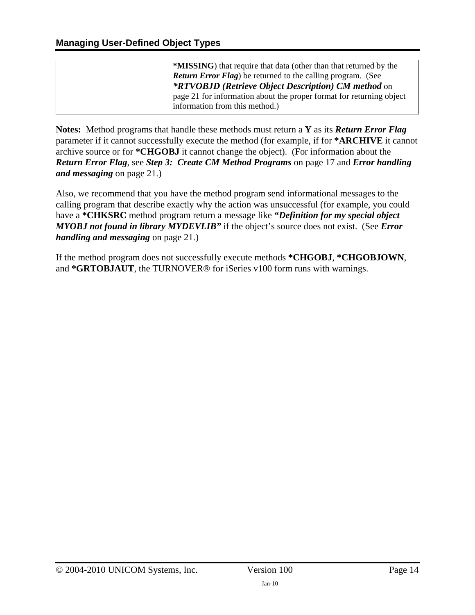| <b>*MISSING</b> ) that require that data (other than that returned by the |
|---------------------------------------------------------------------------|
| <b>Return Error Flag)</b> be returned to the calling program. (See        |
| <i>*RTVOBJD (Retrieve Object Description) CM method on</i>                |
| page 21 for information about the proper format for returning object      |
| information from this method.)                                            |

**Notes:** Method programs that handle these methods must return a **Y** as its *Return Error Flag* parameter if it cannot successfully execute the method (for example, if for **\*ARCHIVE** it cannot archive source or for **\*CHGOBJ** it cannot change the object). (For information about the *Return Error Flag*, see *[Step 3: Create CM Method Programs](#page-16-1)* on page [17](#page-16-1) and *[Error handling](#page-20-1)  [and messaging](#page-20-1)* on page [21](#page-20-1).)

Also, we recommend that you have the method program send informational messages to the calling program that describe exactly why the action was unsuccessful (for example, you could have a **\*CHKSRC** method program return a message like *"Definition for my special object MYOBJ not found in library MYDEVLIB"* if the object's source does not exist.(See *[Error](#page-20-1)  [handling and messaging](#page-20-1)* on page [21](#page-20-1).)

If the method program does not successfully execute methods **\*CHGOBJ**, **\*CHGOBJOWN**, and **\*GRTOBJAUT**, the TURNOVER® for iSeries v100 form runs with warnings.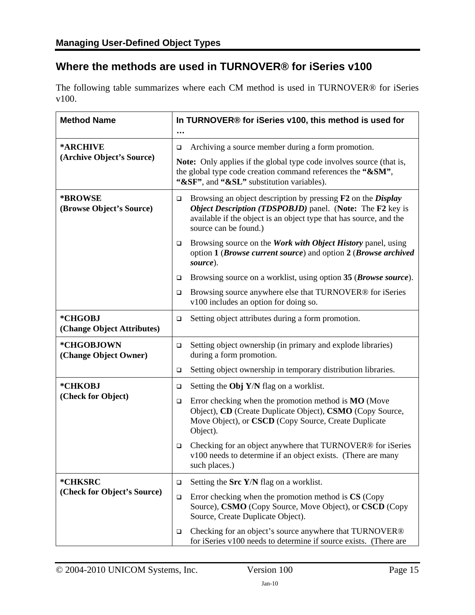# <span id="page-14-1"></span><span id="page-14-0"></span>**Where the methods are used in TURNOVER® for iSeries v100**

The following table summarizes where each CM method is used in TURNOVER® for iSeries v100.

| <b>Method Name</b>                    | In TURNOVER® for iSeries v100, this method is used for                                                                                                                                                                                                  |  |
|---------------------------------------|---------------------------------------------------------------------------------------------------------------------------------------------------------------------------------------------------------------------------------------------------------|--|
| *ARCHIVE                              | Archiving a source member during a form promotion.<br>❏                                                                                                                                                                                                 |  |
| (Archive Object's Source)             | Note: Only applies if the global type code involves source (that is,<br>the global type code creation command references the "&SM",<br>"&SF", and "&SL" substitution variables).                                                                        |  |
| *BROWSE<br>(Browse Object's Source)   | Browsing an object description by pressing <b>F2</b> on the <i>Display</i><br>$\Box$<br><b>Object Description (TDSPOBJD)</b> panel. (Note: The F2 key is<br>available if the object is an object type that has source, and the<br>source can be found.) |  |
|                                       | Browsing source on the <i>Work with Object History</i> panel, using<br>$\Box$<br>option 1 (Browse current source) and option 2 (Browse archived<br>source).                                                                                             |  |
|                                       | Browsing source on a worklist, using option 35 (Browse source).<br>□                                                                                                                                                                                    |  |
|                                       | Browsing source anywhere else that TURNOVER® for iSeries<br>$\Box$<br>v100 includes an option for doing so.                                                                                                                                             |  |
| *CHGOBJ<br>(Change Object Attributes) | Setting object attributes during a form promotion.<br>$\Box$                                                                                                                                                                                            |  |
| *CHGOBJOWN<br>(Change Object Owner)   | Setting object ownership (in primary and explode libraries)<br>$\Box$<br>during a form promotion.                                                                                                                                                       |  |
|                                       | Setting object ownership in temporary distribution libraries.<br>$\Box$                                                                                                                                                                                 |  |
| *CHKOBJ                               | Setting the Obj Y/N flag on a worklist.<br>$\Box$                                                                                                                                                                                                       |  |
| (Check for Object)                    | Error checking when the promotion method is <b>MO</b> (Move<br>$\Box$<br>Object), CD (Create Duplicate Object), CSMO (Copy Source,<br>Move Object), or CSCD (Copy Source, Create Duplicate<br>Object).                                                  |  |
|                                       | Checking for an object anywhere that TURNOVER® for iSeries<br>$\Box$<br>v100 needs to determine if an object exists. (There are many<br>such places.)                                                                                                   |  |
| *CHKSRC                               | Setting the Src Y/N flag on a worklist.<br>$\Box$                                                                                                                                                                                                       |  |
| (Check for Object's Source)           | Error checking when the promotion method is CS (Copy<br>$\Box$<br>Source), CSMO (Copy Source, Move Object), or CSCD (Copy<br>Source, Create Duplicate Object).                                                                                          |  |
|                                       | Checking for an object's source anywhere that TURNOVER®<br>$\Box$<br>for iSeries v100 needs to determine if source exists. (There are                                                                                                                   |  |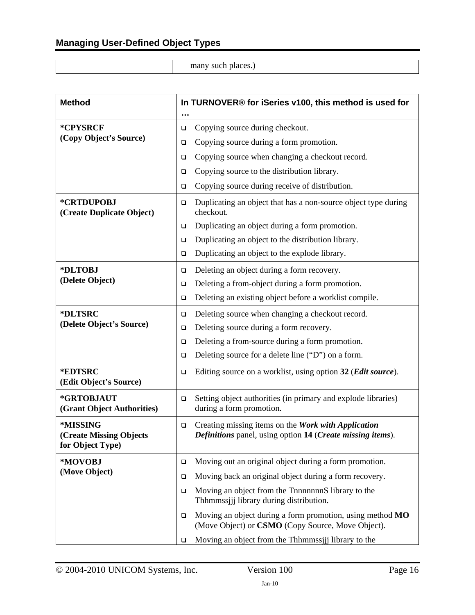many such places.)

| <b>Method</b>                                                  | In TURNOVER® for iSeries v100, this method is used for                                                                      |  |  |
|----------------------------------------------------------------|-----------------------------------------------------------------------------------------------------------------------------|--|--|
|                                                                | $\cdots$                                                                                                                    |  |  |
| *CPYSRCF<br>(Copy Object's Source)                             | Copying source during checkout.<br>$\Box$                                                                                   |  |  |
|                                                                | Copying source during a form promotion.<br>$\Box$                                                                           |  |  |
|                                                                | Copying source when changing a checkout record.<br>$\Box$                                                                   |  |  |
|                                                                | Copying source to the distribution library.<br>$\Box$                                                                       |  |  |
|                                                                | Copying source during receive of distribution.<br>$\Box$                                                                    |  |  |
| *CRTDUPOBJ<br>(Create Duplicate Object)                        | Duplicating an object that has a non-source object type during<br>$\Box$<br>checkout.                                       |  |  |
|                                                                | Duplicating an object during a form promotion.<br>$\Box$                                                                    |  |  |
|                                                                | Duplicating an object to the distribution library.<br>$\Box$                                                                |  |  |
|                                                                | Duplicating an object to the explode library.<br>$\Box$                                                                     |  |  |
| *DLTOBJ                                                        | Deleting an object during a form recovery.<br>$\Box$                                                                        |  |  |
| (Delete Object)                                                | Deleting a from-object during a form promotion.<br>$\Box$                                                                   |  |  |
|                                                                | Deleting an existing object before a worklist compile.<br>$\Box$                                                            |  |  |
| *DLTSRC                                                        | Deleting source when changing a checkout record.<br>$\Box$                                                                  |  |  |
| (Delete Object's Source)                                       | Deleting source during a form recovery.<br>$\Box$                                                                           |  |  |
|                                                                | Deleting a from-source during a form promotion.<br>$\Box$                                                                   |  |  |
|                                                                | Deleting source for a delete line ("D") on a form.<br>$\Box$                                                                |  |  |
| *EDTSRC<br>(Edit Object's Source)                              | Editing source on a worklist, using option 32 (Edit source).<br>$\Box$                                                      |  |  |
| *GRTOBJAUT<br>(Grant Object Authorities)                       | Setting object authorities (in primary and explode libraries)<br>$\Box$<br>during a form promotion.                         |  |  |
| *MISSING<br><b>(Create Missing Objects</b><br>for Object Type) | Creating missing items on the Work with Application<br>$\Box$<br>Definitions panel, using option 14 (Create missing items). |  |  |
| *MOVOBJ                                                        | Moving out an original object during a form promotion.<br>$\Box$                                                            |  |  |
| (Move Object)                                                  | Moving back an original object during a form recovery.<br>$\Box$                                                            |  |  |
|                                                                | Moving an object from the Thinning S library to the<br>$\Box$<br>Thhmmssjjj library during distribution.                    |  |  |
|                                                                | Moving an object during a form promotion, using method MO<br>$\Box$<br>(Move Object) or CSMO (Copy Source, Move Object).    |  |  |
|                                                                | Moving an object from the Thhmmssijj library to the<br>$\Box$                                                               |  |  |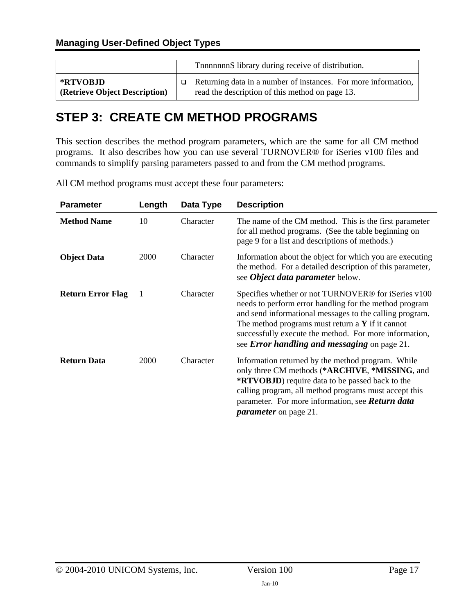<span id="page-16-0"></span>

|                               | The Theorem S library during receive of distribution.          |  |
|-------------------------------|----------------------------------------------------------------|--|
| *RTVOBJD                      | Returning data in a number of instances. For more information, |  |
| (Retrieve Object Description) | read the description of this method on page 13.                |  |

# <span id="page-16-1"></span>**STEP 3: CREATE CM METHOD PROGRAMS**

This section describes the method program parameters, which are the same for all CM method programs. It also describes how you can use several TURNOVER® for iSeries v100 files and commands to simplify parsing parameters passed to and from the CM method programs.

All CM method programs must accept these four parameters:

| <b>Parameter</b>         | Length | Data Type | <b>Description</b>                                                                                                                                                                                                                                                                                                                                               |
|--------------------------|--------|-----------|------------------------------------------------------------------------------------------------------------------------------------------------------------------------------------------------------------------------------------------------------------------------------------------------------------------------------------------------------------------|
| <b>Method Name</b>       | 10     | Character | The name of the CM method. This is the first parameter<br>for all method programs. (See the table beginning on<br>page 9 for a list and descriptions of methods.)                                                                                                                                                                                                |
| <b>Object Data</b>       | 2000   | Character | Information about the object for which you are executing<br>the method. For a detailed description of this parameter,<br>see <i>Object data parameter</i> below.                                                                                                                                                                                                 |
| <b>Return Error Flag</b> | -1     | Character | Specifies whether or not TURNOVER <sup>®</sup> for iSeries v100<br>needs to perform error handling for the method program<br>and send informational messages to the calling program.<br>The method programs must return a $\bf{Y}$ if it cannot<br>successfully execute the method. For more information,<br>see <i>Error handling and messaging</i> on page 21. |
| <b>Return Data</b>       | 2000   | Character | Information returned by the method program. While<br>only three CM methods (*ARCHIVE, *MISSING, and<br><b>*RTVOBJD</b> ) require data to be passed back to the<br>calling program, all method programs must accept this<br>parameter. For more information, see <b>Return data</b><br><i>parameter</i> on page 21.                                               |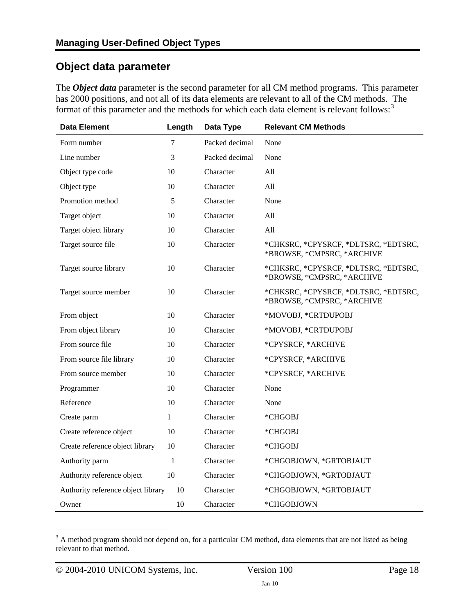## <span id="page-17-1"></span><span id="page-17-0"></span>**Object data parameter**

The *Object data* parameter is the second parameter for all CM method programs. This parameter has 2000 positions, and not all of its data elements are relevant to all of the CM methods. The format of this parameter and the methods for which each data element is relevant follows:<sup>[3](#page-17-2)</sup>

| <b>Data Element</b>                | Length       | Data Type      | <b>Relevant CM Methods</b>                                         |
|------------------------------------|--------------|----------------|--------------------------------------------------------------------|
| Form number                        | 7            | Packed decimal | None                                                               |
| Line number                        | 3            | Packed decimal | None                                                               |
| Object type code                   | 10           | Character      | All                                                                |
| Object type                        | 10           | Character      | A11                                                                |
| Promotion method                   | 5            | Character      | None                                                               |
| Target object                      | 10           | Character      | A11                                                                |
| Target object library              | 10           | Character      | All                                                                |
| Target source file                 | 10           | Character      | *CHKSRC, *CPYSRCF, *DLTSRC, *EDTSRC,<br>*BROWSE, *CMPSRC, *ARCHIVE |
| Target source library              | 10           | Character      | *CHKSRC, *CPYSRCF, *DLTSRC, *EDTSRC,<br>*BROWSE, *CMPSRC, *ARCHIVE |
| Target source member               | 10           | Character      | *CHKSRC, *CPYSRCF, *DLTSRC, *EDTSRC,<br>*BROWSE, *CMPSRC, *ARCHIVE |
| From object                        | 10           | Character      | *MOVOBJ, *CRTDUPOBJ                                                |
| From object library                | 10           | Character      | *MOVOBJ, *CRTDUPOBJ                                                |
| From source file                   | 10           | Character      | *CPYSRCF, *ARCHIVE                                                 |
| From source file library           | 10           | Character      | *CPYSRCF, *ARCHIVE                                                 |
| From source member                 | 10           | Character      | *CPYSRCF, *ARCHIVE                                                 |
| Programmer                         | 10           | Character      | None                                                               |
| Reference                          | 10           | Character      | None                                                               |
| Create parm                        | $\mathbf{1}$ | Character      | *CHGOBJ                                                            |
| Create reference object            | 10           | Character      | *CHGOBJ                                                            |
| Create reference object library    | 10           | Character      | *CHGOBJ                                                            |
| Authority parm                     | 1            | Character      | *CHGOBJOWN, *GRTOBJAUT                                             |
| Authority reference object         | 10           | Character      | *CHGOBJOWN, *GRTOBJAUT                                             |
| Authority reference object library | 10           | Character      | *CHGOBJOWN, *GRTOBJAUT                                             |
| Owner                              | 10           | Character      | *CHGOBJOWN                                                         |

<span id="page-17-2"></span> $3 \text{ A}$  method program should not depend on, for a particular CM method, data elements that are not listed as being relevant to that method.

 $\overline{a}$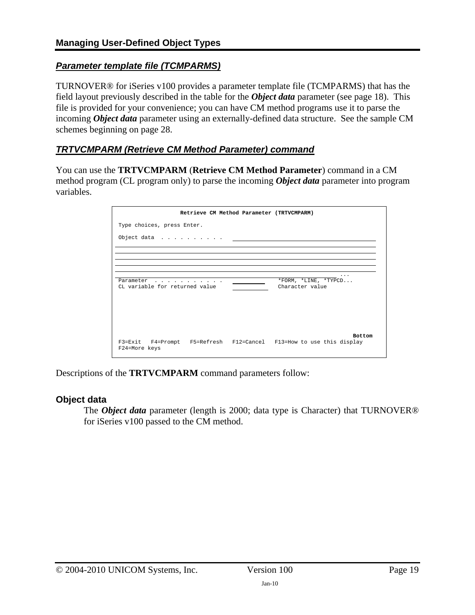### *Parameter template file (TCMPARMS)*

TURNOVER® for iSeries v100 provides a parameter template file (TCMPARMS) that has the field layout previously described in the table for the *Object data* parameter (see page [18\)](#page-17-1). This file is provided for your convenience; you can have CM method programs use it to parse the incoming *Object data* parameter using an externally-defined data structure. See the sample CM schemes beginning on page [28](#page-36-2).

### *TRTVCMPARM (Retrieve CM Method Parameter) command*

You can use the **TRTVCMPARM** (**Retrieve CM Method Parameter**) command in a CM method program (CL program only) to parse the incoming *Object data* parameter into program variables.

|                                             | Retrieve CM Method Parameter (TRTVCMPARM) |                                                                     |
|---------------------------------------------|-------------------------------------------|---------------------------------------------------------------------|
| Type choices, press Enter.                  |                                           |                                                                     |
|                                             |                                           |                                                                     |
|                                             |                                           |                                                                     |
|                                             |                                           |                                                                     |
| Parameter<br>CL variable for returned value |                                           | *FORM, *LINE, *TYPCD<br>Character value                             |
|                                             |                                           | <b>Bottom</b>                                                       |
| F24=More keys                               |                                           | F3=Exit F4=Prompt F5=Refresh F12=Cancel F13=How to use this display |

Descriptions of the **TRTVCMPARM** command parameters follow:

#### **Object data**

The *Object data* parameter (length is 2000; data type is Character) that TURNOVER<sup>®</sup> for iSeries v100 passed to the CM method.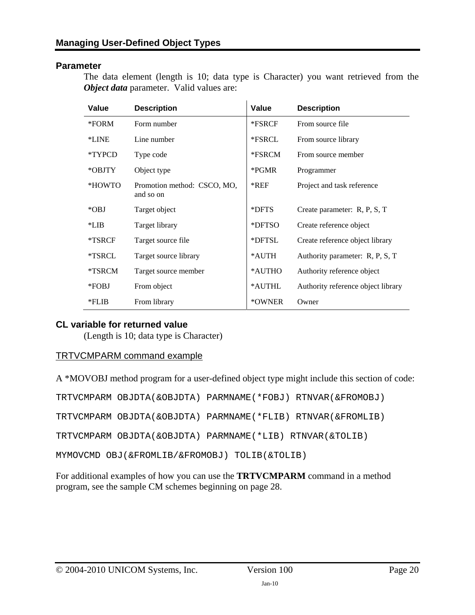#### **Parameter**

The data element (length is 10; data type is Character) you want retrieved from the *Object data* parameter. Valid values are:

 $\mathbf{r}$ 

| Value    | <b>Description</b>                       | <b>Value</b> | <b>Description</b>                 |
|----------|------------------------------------------|--------------|------------------------------------|
| *FORM    | Form number                              | *FSRCF       | From source file                   |
| *LINE    | Line number                              | *FSRCL       | From source library                |
| *TYPCD   | Type code                                | *FSRCM       | From source member                 |
| *OBJTY   | Object type                              | *PGMR        | Programmer                         |
| *HOWTO   | Promotion method: CSCO, MO,<br>and so on | $*$ REF      | Project and task reference         |
| $*$ OBJ  | Target object                            | *DFTS        | Create parameter: R, P, S, T       |
| $*LIB$   | Target library                           | *DFTSO       | Create reference object            |
| *TSRCF   | Target source file                       | *DFTSL       | Create reference object library    |
| *TSRCL   | Target source library                    | *AUTH        | Authority parameter: R, P, S, T    |
| *TSRCM   | Target source member                     | *AUTHO       | Authority reference object         |
| *FOBJ    | From object                              | *AUTHL       | Authority reference object library |
| $*$ FLIB | From library                             | *OWNER       | Owner                              |

#### **CL variable for returned value**

(Length is 10; data type is Character)

#### TRTVCMPARM command example

A \*MOVOBJ method program for a user-defined object type might include this section of code:

|                                                          | TRTVCMPARM OBJDTA(&OBJDTA) PARMNAME(*FOBJ) RTNVAR(&FROMOBJ) |
|----------------------------------------------------------|-------------------------------------------------------------|
|                                                          | TRTVCMPARM OBJDTA(&OBJDTA) PARMNAME(*FLIB) RTNVAR(&FROMLIB) |
| TRTVCMPARM OBJDTA(&OBJDTA) PARMNAME(*LIB) RTNVAR(&TOLIB) |                                                             |
| MYMOVCMD OBJ(&FROMLIB/&FROMOBJ) TOLIB(&TOLIB)            |                                                             |

For additional examples of how you can use the **TRTVCMPARM** command in a method program, see the sample CM schemes beginning on page [28.](#page-36-2)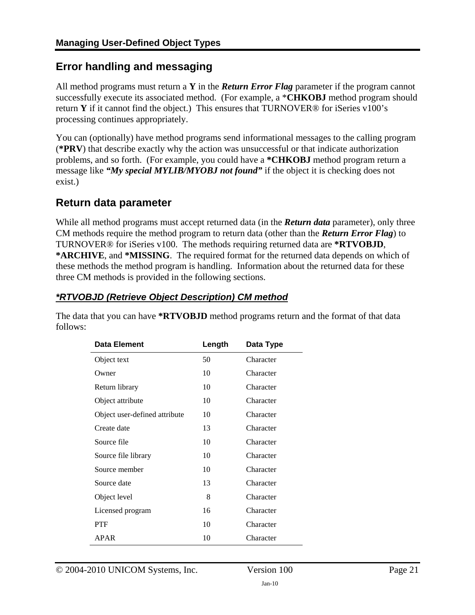# <span id="page-20-1"></span><span id="page-20-0"></span>**Error handling and messaging**

All method programs must return a **Y** in the *Return Error Flag* parameter if the program cannot successfully execute its associated method. (For example, a \***CHKOBJ** method program should return **Y** if it cannot find the object.) This ensures that TURNOVER® for iSeries v100's processing continues appropriately.

You can (optionally) have method programs send informational messages to the calling program (**\*PRV**) that describe exactly why the action was unsuccessful or that indicate authorization problems, and so forth. (For example, you could have a **\*CHKOBJ** method program return a message like *"My special MYLIB/MYOBJ not found"* if the object it is checking does not exist.)

### <span id="page-20-2"></span>**Return data parameter**

While all method programs must accept returned data (in the *Return data* parameter), only three CM methods require the method program to return data (other than the *Return Error Flag*) to TURNOVER® for iSeries v100. The methods requiring returned data are **\*RTVOBJD**, **\*ARCHIVE**, and **\*MISSING**. The required format for the returned data depends on which of these methods the method program is handling. Information about the returned data for these three CM methods is provided in the following sections.

### <span id="page-20-3"></span>*\*RTVOBJD (Retrieve Object Description) CM method*

The data that you can have **\*RTVOBJD** method programs return and the format of that data follows:

| Data Element                  | Length | Data Type |
|-------------------------------|--------|-----------|
| Object text                   | 50     | Character |
| Owner                         | 10     | Character |
| Return library                | 10     | Character |
| Object attribute              | 10     | Character |
| Object user-defined attribute | 10     | Character |
| Create date                   | 13     | Character |
| Source file                   | 10     | Character |
| Source file library           | 10     | Character |
| Source member                 | 10     | Character |
| Source date                   | 13     | Character |
| Object level                  | 8      | Character |
| Licensed program              | 16     | Character |
| PTF                           | 10     | Character |
| <b>APAR</b>                   | 10     | Character |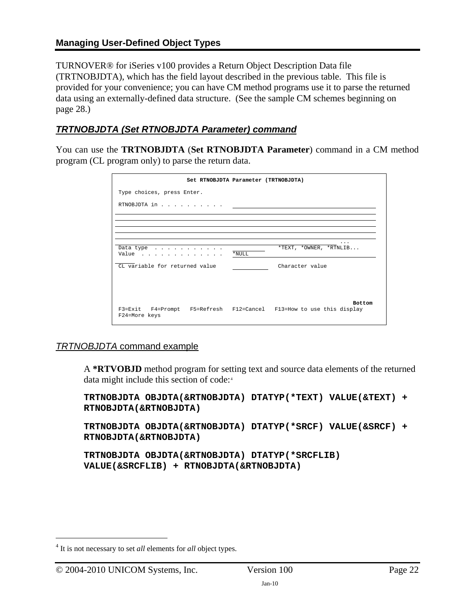#### **Managing User-Defined Object Types**

TURNOVER® for iSeries v100 provides a Return Object Description Data file (TRTNOBJDTA), which has the field layout described in the previous table. This file is provided for your convenience; you can have CM method programs use it to parse the returned data using an externally-defined data structure. (See the sample CM schemes beginning on page [28.](#page-36-2))

### *TRTNOBJDTA (Set RTNOBJDTA Parameter) command*

You can use the **TRTNOBJDTA** (**Set RTNOBJDTA Parameter**) command in a CM method program (CL program only) to parse the return data.

|                                                                                      | Set RTNOBJDTA Parameter (TRTNOBJDTA) |                        |
|--------------------------------------------------------------------------------------|--------------------------------------|------------------------|
| Type choices, press Enter.                                                           |                                      |                        |
| RTNOBJDTA in                                                                         |                                      |                        |
|                                                                                      |                                      |                        |
|                                                                                      |                                      |                        |
| Data type $\ldots$ , $\ldots$ , $\ldots$<br>Value                                    | $*$ NULL                             | *TEXT, *OWNER, *RTNLIB |
| CL variable for returned value                                                       |                                      | Character value        |
|                                                                                      |                                      |                        |
|                                                                                      |                                      |                        |
| F3=Exit F4=Prompt F5=Refresh F12=Cancel F13=How to use this display<br>F24=More keys |                                      | <b>Bottom</b>          |

#### *TRTNOBJDTA* command example

A **\*RTVOBJD** method program for setting text and source data elements of the returned data might include this section of code:<sup>[4](#page-21-0)</sup>

```
TRTNOBJDTA OBJDTA(&RTNOBJDTA) DTATYP(*TEXT) VALUE(&TEXT) + 
RTNOBJDTA(&RTNOBJDTA)
```

```
TRTNOBJDTA OBJDTA(&RTNOBJDTA) DTATYP(*SRCF) VALUE(&SRCF) + 
RTNOBJDTA(&RTNOBJDTA)
```

```
TRTNOBJDTA OBJDTA(&RTNOBJDTA) DTATYP(*SRCFLIB) 
VALUE(&SRCFLIB) + RTNOBJDTA(&RTNOBJDTA)
```
 $\overline{a}$ 

<span id="page-21-0"></span><sup>4</sup> It is not necessary to set *all* elements for *all* object types.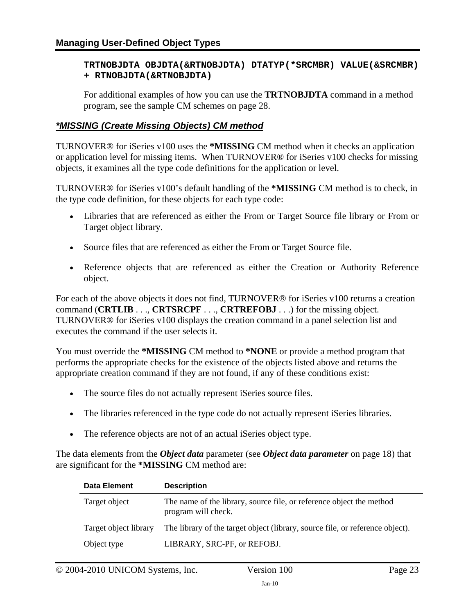#### **TRTNOBJDTA OBJDTA(&RTNOBJDTA) DTATYP(\*SRCMBR) VALUE(&SRCMBR) + RTNOBJDTA(&RTNOBJDTA)**

For additional examples of how you can use the **TRTNOBJDTA** command in a method program, see the sample CM schemes on page [28.](#page-36-2)

#### <span id="page-22-0"></span>*\*MISSING (Create Missing Objects) CM method*

TURNOVER® for iSeries v100 uses the **\*MISSING** CM method when it checks an application or application level for missing items. When TURNOVER® for iSeries v100 checks for missing objects, it examines all the type code definitions for the application or level.

TURNOVER® for iSeries v100's default handling of the **\*MISSING** CM method is to check, in the type code definition, for these objects for each type code:

- Libraries that are referenced as either the From or Target Source file library or From or Target object library.
- Source files that are referenced as either the From or Target Source file.
- Reference objects that are referenced as either the Creation or Authority Reference object.

For each of the above objects it does not find, TURNOVER® for iSeries v100 returns a creation command (**CRTLIB** . . ., **CRTSRCPF** . . ., **CRTREFOBJ** . . .) for the missing object. TURNOVER® for iSeries v100 displays the creation command in a panel selection list and executes the command if the user selects it.

You must override the **\*MISSING** CM method to **\*NONE** or provide a method program that performs the appropriate checks for the existence of the objects listed above and returns the appropriate creation command if they are not found, if any of these conditions exist:

- The source files do not actually represent iSeries source files.
- The libraries referenced in the type code do not actually represent iSeries libraries.
- The reference objects are not of an actual iSeries object type.

The data elements from the *Object data* parameter (see *[Object data parameter](#page-17-1)* on page [18\)](#page-17-1) that are significant for the **\*MISSING** CM method are:

| <b>Data Element</b>   | <b>Description</b>                                                                          |
|-----------------------|---------------------------------------------------------------------------------------------|
| Target object         | The name of the library, source file, or reference object the method<br>program will check. |
| Target object library | The library of the target object (library, source file, or reference object).               |
| Object type           | LIBRARY, SRC-PF, or REFOBJ.                                                                 |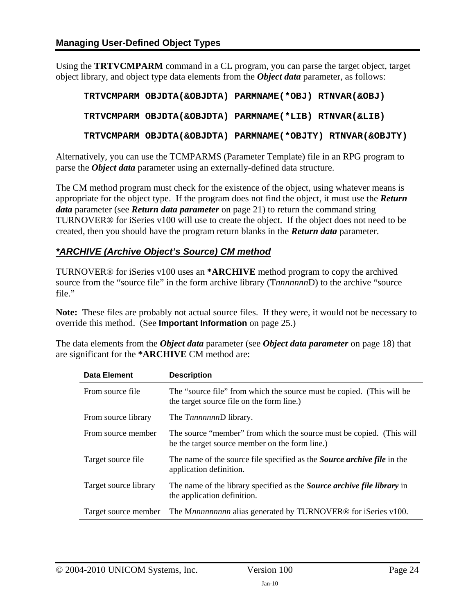Using the **TRTVCMPARM** command in a CL program, you can parse the target object, target object library, and object type data elements from the *Object data* parameter, as follows:

```
TRTVCMPARM OBJDTA(&OBJDTA) PARMNAME(*OBJ) RTNVAR(&OBJ) 
TRTVCMPARM OBJDTA(&OBJDTA) PARMNAME(*LIB) RTNVAR(&LIB) 
TRTVCMPARM OBJDTA(&OBJDTA) PARMNAME(*OBJTY) RTNVAR(&OBJTY)
```
Alternatively, you can use the TCMPARMS (Parameter Template) file in an RPG program to parse the *Object data* parameter using an externally-defined data structure.

The CM method program must check for the existence of the object, using whatever means is appropriate for the object type. If the program does not find the object, it must use the *Return data* parameter (see *[Return data parameter](#page-20-2)* on page [21](#page-20-1)) to return the command string TURNOVER® for iSeries v100 will use to create the object. If the object does not need to be created, then you should have the program return blanks in the *Return data* parameter.

### <span id="page-23-0"></span>*\*ARCHIVE (Archive Object's Source) CM method*

TURNOVER® for iSeries v100 uses an **\*ARCHIVE** method program to copy the archived source from the "source file" in the form archive library (T*nnnnnnn*D) to the archive "source file."

**Note:** These files are probably not actual source files. If they were, it would not be necessary to override this method. (See **Important Information** on page [25](#page-24-0).)

The data elements from the *Object data* parameter (see *[Object data parameter](#page-17-1)* on page [18\)](#page-17-1) that are significant for the **\*ARCHIVE** CM method are:

| <b>Data Element</b>   | <b>Description</b>                                                                                                     |
|-----------------------|------------------------------------------------------------------------------------------------------------------------|
| From source file      | The "source file" from which the source must be copied. (This will be<br>the target source file on the form line.)     |
| From source library   | The T <i>rinnnnnn</i> D library.                                                                                       |
| From source member    | The source "member" from which the source must be copied. (This will<br>be the target source member on the form line.) |
| Target source file    | The name of the source file specified as the <i>Source archive file</i> in the<br>application definition.              |
| Target source library | The name of the library specified as the Source archive file library in<br>the application definition.                 |
|                       | Target source member The Mnnnnnnnnn alias generated by TURNOVER® for iSeries v100.                                     |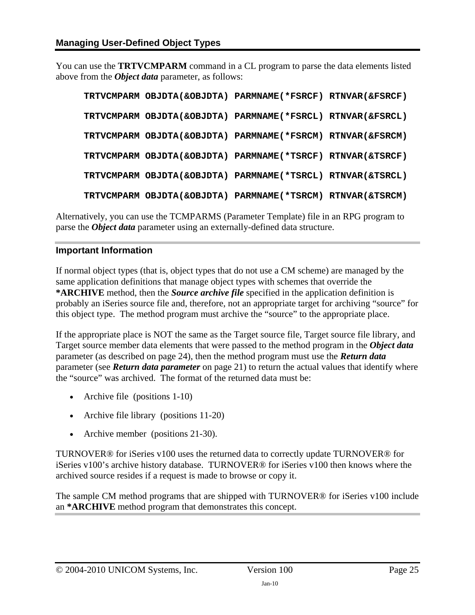You can use the **TRTVCMPARM** command in a CL program to parse the data elements listed above from the *Object data* parameter, as follows:

|  | TRTVCMPARM OBJDTA(&OBJDTA) PARMNAME(*FSRCF) RTNVAR(&FSRCF) |  |
|--|------------------------------------------------------------|--|
|  | TRTVCMPARM OBJDTA(&OBJDTA) PARMNAME(*FSRCL) RTNVAR(&FSRCL) |  |
|  | TRTVCMPARM OBJDTA(&OBJDTA) PARMNAME(*FSRCM) RTNVAR(&FSRCM) |  |
|  | TRTVCMPARM OBJDTA(&OBJDTA) PARMNAME(*TSRCF) RTNVAR(&TSRCF) |  |
|  | TRTVCMPARM OBJDTA(&OBJDTA) PARMNAME(*TSRCL) RTNVAR(&TSRCL) |  |
|  | TRTVCMPARM OBJDTA(&OBJDTA) PARMNAME(*TSRCM) RTNVAR(&TSRCM) |  |

Alternatively, you can use the TCMPARMS (Parameter Template) file in an RPG program to parse the *Object data* parameter using an externally-defined data structure.

#### <span id="page-24-0"></span>**Important Information**

If normal object types (that is, object types that do not use a CM scheme) are managed by the same application definitions that manage object types with schemes that override the **\*ARCHIVE** method, then the *Source archive file* specified in the application definition is probably an iSeries source file and, therefore, not an appropriate target for archiving "source" for this object type. The method program must archive the "source" to the appropriate place.

If the appropriate place is NOT the same as the Target source file*,* Target source file library, and Target source member data elements that were passed to the method program in the *Object data* parameter (as described on page [24\)](#page-23-0), then the method program must use the *Return data* parameter (see *[Return data parameter](#page-20-2)* on page [21\)](#page-20-1) to return the actual values that identify where the "source" was archived. The format of the returned data must be:

- Archive file (positions 1-10)
- Archive file library (positions 11-20)
- Archive member (positions 21-30).

TURNOVER® for iSeries v100 uses the returned data to correctly update TURNOVER® for iSeries v100's archive history database. TURNOVER® for iSeries v100 then knows where the archived source resides if a request is made to browse or copy it.

The sample CM method programs that are shipped with TURNOVER® for iSeries v100 include an **\*ARCHIVE** method program that demonstrates this concept.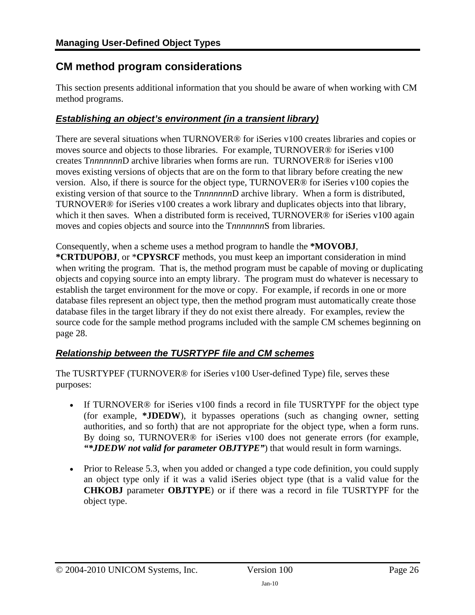## <span id="page-25-1"></span><span id="page-25-0"></span>**CM method program considerations**

This section presents additional information that you should be aware of when working with CM method programs.

### *Establishing an object's environment (in a transient library)*

There are several situations when TURNOVER® for iSeries v100 creates libraries and copies or moves source and objects to those libraries. For example, TURNOVER® for iSeries v100 creates T*nnnnnnn*D archive libraries when forms are run. TURNOVER® for iSeries v100 moves existing versions of objects that are on the form to that library before creating the new version. Also, if there is source for the object type, TURNOVER® for iSeries v100 copies the existing version of that source to the T*nnnnnnn*D archive library. When a form is distributed, TURNOVER® for iSeries v100 creates a work library and duplicates objects into that library, which it then saves. When a distributed form is received, TURNOVER® for iSeries v100 again moves and copies objects and source into the T*nnnnnnn*S from libraries.

Consequently, when a scheme uses a method program to handle the **\*MOVOBJ**,

**\*CRTDUPOBJ**, or \***CPYSRCF** methods, you must keep an important consideration in mind when writing the program. That is, the method program must be capable of moving or duplicating objects and copying source into an empty library. The program must do whatever is necessary to establish the target environment for the move or copy. For example, if records in one or more database files represent an object type, then the method program must automatically create those database files in the target library if they do not exist there already. For examples, review the source code for the sample method programs included with the sample CM schemes beginning on page [28.](#page-36-2)

### <span id="page-25-2"></span>*Relationship between the TUSRTYPF file and CM schemes*

The TUSRTYPEF (TURNOVER® for iSeries v100 User-defined Type) file, serves these purposes:

- If TURNOVER<sup>®</sup> for iSeries v100 finds a record in file TUSRTYPF for the object type (for example, **\*JDEDW**), it bypasses operations (such as changing owner, setting authorities, and so forth) that are not appropriate for the object type, when a form runs. By doing so, TURNOVER® for iSeries v100 does not generate errors (for example, *"\*JDEDW not valid for parameter OBJTYPE"*) that would result in form warnings.
- Prior to Release 5.3, when you added or changed a type code definition, you could supply an object type only if it was a valid iSeries object type (that is a valid value for the **CHKOBJ** parameter **OBJTYPE**) or if there was a record in file TUSRTYPF for the object type.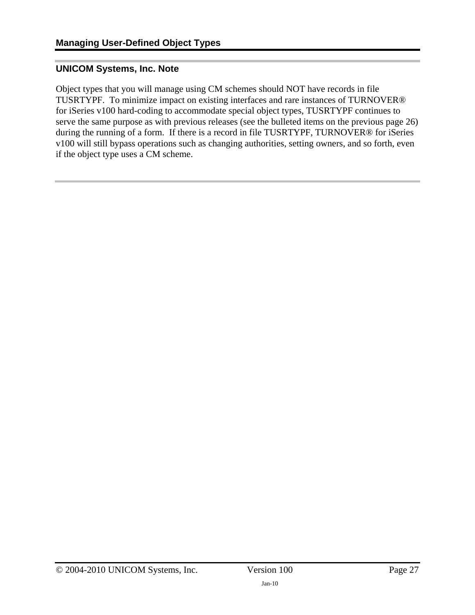#### **UNICOM Systems, Inc. Note**

Object types that you will manage using CM schemes should NOT have records in file TUSRTYPF. To minimize impact on existing interfaces and rare instances of TURNOVER® for iSeries v100 hard-coding to accommodate special object types, TUSRTYPF continues to serve the same purpose as with previous releases (see the bulleted items on the previous page [26](#page-25-2)) during the running of a form. If there is a record in file TUSRTYPF, TURNOVER® for iSeries v100 will still bypass operations such as changing authorities, setting owners, and so forth, even if the object type uses a CM scheme.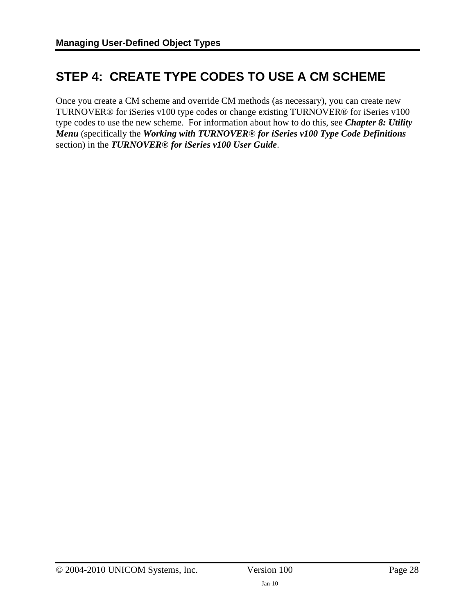# <span id="page-27-1"></span><span id="page-27-0"></span>**STEP 4: CREATE TYPE CODES TO USE A CM SCHEME**

Once you create a CM scheme and override CM methods (as necessary), you can create new TURNOVER® for iSeries v100 type codes or change existing TURNOVER® for iSeries v100 type codes to use the new scheme. For information about how to do this, see *Chapter 8: Utility Menu* (specifically the *Working with TURNOVER® for iSeries v100 Type Code Definitions* section) in the *TURNOVER® for iSeries v100 User Guide*.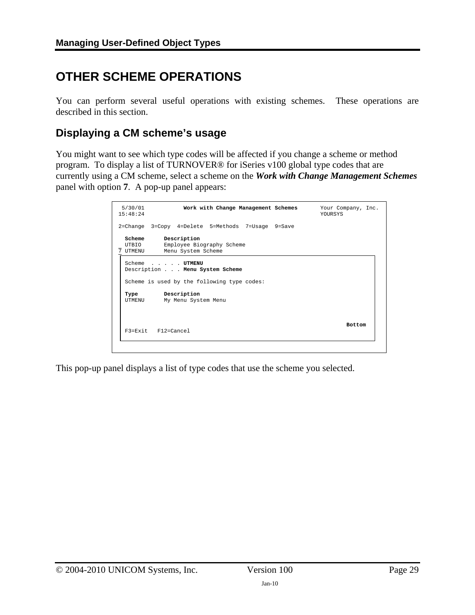# <span id="page-28-1"></span><span id="page-28-0"></span>**OTHER SCHEME OPERATIONS**

You can perform several useful operations with existing schemes. These operations are described in this section.

### <span id="page-28-2"></span>**Displaying a CM scheme's usage**

You might want to see which type codes will be affected if you change a scheme or method program. To display a list of TURNOVER® for iSeries v100 global type codes that are currently using a CM scheme, select a scheme on the *Work with Change Management Schemes* panel with option **7**. A pop-up panel appears:

| 5/30/01<br>15:48:24         | Work with Change Management Schemes                            | Your Company, Inc.<br><b>YOURSYS</b> |
|-----------------------------|----------------------------------------------------------------|--------------------------------------|
|                             | 2=Change 3=Copy 4=Delete 5=Methods 7=Usage 9=Save              |                                      |
| Scheme<br>UTBIO<br>7 UTMENU | Description<br>Employee Biography Scheme<br>Menu System Scheme |                                      |
|                             | Scheme UTMENU<br>Description Menu System Scheme                |                                      |
|                             | Scheme is used by the following type codes:                    |                                      |
| Type<br>UTMENU              | Description<br>My Menu System Menu                             |                                      |
| F3=Exit F12=Cancel          |                                                                | <b>Bottom</b>                        |

This pop-up panel displays a list of type codes that use the scheme you selected.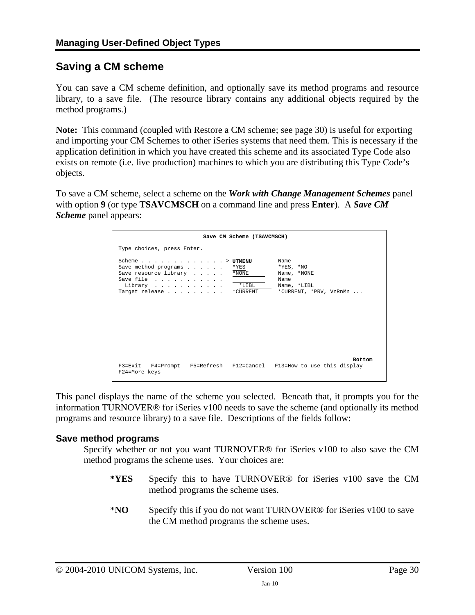## <span id="page-29-1"></span><span id="page-29-0"></span>**Saving a CM scheme**

You can save a CM scheme definition, and optionally save its method programs and resource library, to a save file. (The resource library contains any additional objects required by the method programs.)

**Note:** This command (coupled with Restore a CM scheme; see page [30](#page-29-1)) is useful for exporting and importing your CM Schemes to other iSeries systems that need them. This is necessary if the application definition in which you have created this scheme and its associated Type Code also exists on remote (i.e. live production) machines to which you are distributing this Type Code's objects.

To save a CM scheme, select a scheme on the *Work with Change Management Schemes* panel with option **9** (or type **TSAVCMSCH** on a command line and press **Enter**). A *Save CM Scheme* panel appears:

| Save CM Scheme (TSAVCMSCH)                                                                                                                                                                                |                                                                                         |
|-----------------------------------------------------------------------------------------------------------------------------------------------------------------------------------------------------------|-----------------------------------------------------------------------------------------|
| Type choices, press Enter.                                                                                                                                                                                |                                                                                         |
| Scheme $\ldots$ $\ldots$ $\ldots$ $\ldots$ $\ldots$ $\ldots$ $\vdots$<br>Save method programs<br>*YES<br>Save resource library<br>*NONE<br>Save file<br>$*$ LIBL<br>Library<br>Target release<br>*CURRENT | Name<br>$*$ YES, $*$ NO<br>Name, *NONE<br>Name<br>Name, *LIBL<br>*CURRENT, *PRV, VnRnMn |
| F3=Exit F4=Prompt F5=Refresh F12=Cancel F13=How to use this display<br>F24=More keys                                                                                                                      | <b>Bottom</b>                                                                           |

This panel displays the name of the scheme you selected. Beneath that, it prompts you for the information TURNOVER® for iSeries v100 needs to save the scheme (and optionally its method programs and resource library) to a save file. Descriptions of the fields follow:

#### **Save method programs**

Specify whether or not you want TURNOVER® for iSeries v100 to also save the CM method programs the scheme uses. Your choices are:

- **\*YES** Specify this to have TURNOVER® for iSeries v100 save the CM method programs the scheme uses.
- \***NO** Specify this if you do not want TURNOVER® for iSeries v100 to save the CM method programs the scheme uses.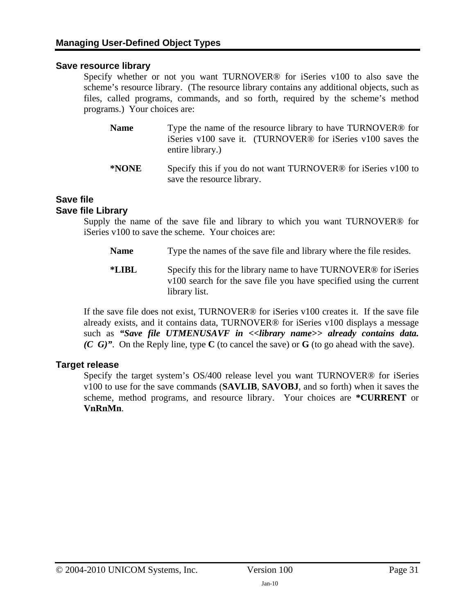#### **Save resource library**

Specify whether or not you want TURNOVER® for iSeries v100 to also save the scheme's resource library. (The resource library contains any additional objects, such as files, called programs, commands, and so forth, required by the scheme's method programs.) Your choices are:

- **Name** Type the name of the resource library to have TURNOVER<sup>®</sup> for iSeries v100 save it. (TURNOVER® for iSeries v100 saves the entire library.)
- **\*NONE** Specify this if you do not want TURNOVER® for iSeries v100 to save the resource library.

### **Save file**

#### **Save file Library**

Supply the name of the save file and library to which you want TURNOVER® for iSeries v100 to save the scheme. Your choices are:

- **Name** Type the names of the save file and library where the file resides.
- **\*LIBL** Specify this for the library name to have TURNOVER® for iSeries v100 search for the save file you have specified using the current library list.

If the save file does not exist, TURNOVER® for iSeries v100 creates it. If the save file already exists, and it contains data, TURNOVER® for iSeries v100 displays a message such as *"Save file UTMENUSAVF in <<library name>> already contains data. (C G)"*. On the Reply line, type **C** (to cancel the save) or **G** (to go ahead with the save).

#### **Target release**

Specify the target system's OS/400 release level you want TURNOVER® for iSeries v100 to use for the save commands (**SAVLIB**, **SAVOBJ**, and so forth) when it saves the scheme, method programs, and resource library. Your choices are **\*CURRENT** or **VnRnMn**.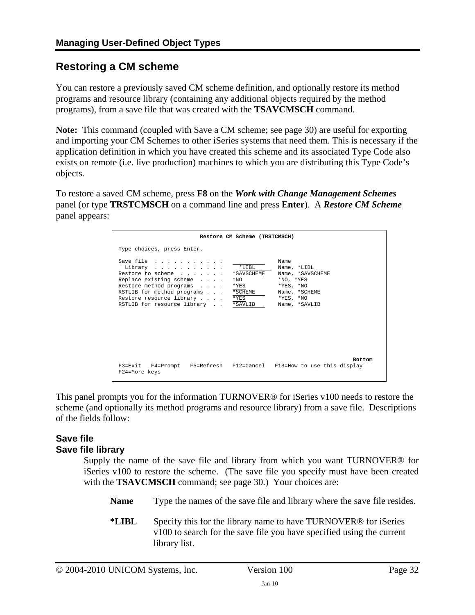# <span id="page-31-1"></span><span id="page-31-0"></span>**Restoring a CM scheme**

You can restore a previously saved CM scheme definition, and optionally restore its method programs and resource library (containing any additional objects required by the method programs), from a save file that was created with the **TSAVCMSCH** command.

**Note:** This command (coupled with Save a CM scheme; see page [30\)](#page-29-1) are useful for exporting and importing your CM Schemes to other iSeries systems that need them. This is necessary if the application definition in which you have created this scheme and its associated Type Code also exists on remote (i.e. live production) machines to which you are distributing this Type Code's objects.

To restore a saved CM scheme, press **F8** on the *Work with Change Management Schemes* panel (or type **TRSTCMSCH** on a command line and press **Enter**). A *Restore CM Scheme* panel appears:

|                                                                                                                                                                                                  | Restore CM Scheme (TRSTCMSCH)                                            |                                                                                                                                             |
|--------------------------------------------------------------------------------------------------------------------------------------------------------------------------------------------------|--------------------------------------------------------------------------|---------------------------------------------------------------------------------------------------------------------------------------------|
| Type choices, press Enter.                                                                                                                                                                       |                                                                          |                                                                                                                                             |
| Save file<br>Library<br>Restore to scheme<br>Replace existing scheme<br>Restore method programs<br>RSTLIB for method programs<br>Restore resource library<br>RSTLIB for resource library *SAVLIB | $*$ LIBL<br>*SAVSCHEME<br>$*_{\rm NO}$<br>$*$ YES<br>* SCHEME<br>$*$ YES | Name<br>Name, *LIBL<br>Name, *SAVSCHEME<br>$*_{\rm NO}$ , $*_{\rm YES}$<br>$*YES, *NO$<br>Name, *SCHEME<br>$*$ YES, $*$ NO<br>Name, *SAVLIB |
| F3=Exit F4=Prompt F5=Refresh F12=Cancel F13=How to use this display<br>F24=More keys                                                                                                             |                                                                          | <b>Bottom</b>                                                                                                                               |

This panel prompts you for the information TURNOVER® for iSeries v100 needs to restore the scheme (and optionally its method programs and resource library) from a save file. Descriptions of the fields follow:

#### **Save file Save file library**

Supply the name of the save file and library from which you want TURNOVER® for iSeries v100 to restore the scheme. (The save file you specify must have been created with the **TSAVCMSCH** command; see page [30](#page-29-1).) Your choices are:

**Name** Type the names of the save file and library where the save file resides.

**\*LIBL** Specify this for the library name to have TURNOVER® for iSeries v100 to search for the save file you have specified using the current library list.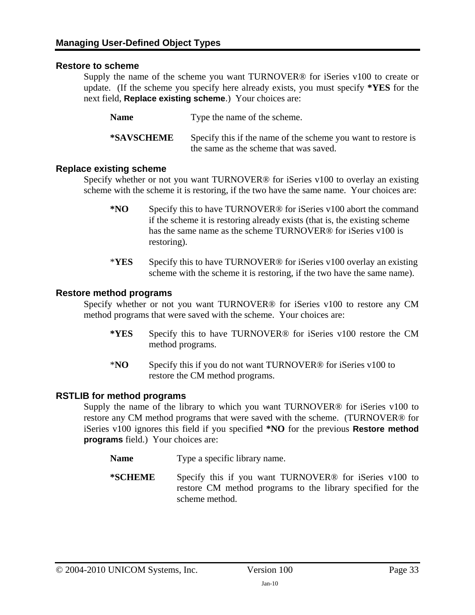#### **Restore to scheme**

Supply the name of the scheme you want TURNOVER® for iSeries v100 to create or update. (If the scheme you specify here already exists, you must specify **\*YES** for the next field, **Replace existing scheme**.) Your choices are:

Name **Type the name of the scheme.** 

**\*SAVSCHEME** Specify this if the name of the scheme you want to restore is the same as the scheme that was saved.

#### **Replace existing scheme**

Specify whether or not you want TURNOVER® for iSeries v100 to overlay an existing scheme with the scheme it is restoring, if the two have the same name. Your choices are:

- **\*NO** Specify this to have TURNOVER® for iSeries v100 abort the command if the scheme it is restoring already exists (that is, the existing scheme has the same name as the scheme TURNOVER<sup>®</sup> for iSeries v100 is restoring).
- \***YES** Specify this to have TURNOVER® for iSeries v100 overlay an existing scheme with the scheme it is restoring, if the two have the same name).

#### **Restore method programs**

Specify whether or not you want TURNOVER® for iSeries v100 to restore any CM method programs that were saved with the scheme. Your choices are:

- **\*YES** Specify this to have TURNOVER® for iSeries v100 restore the CM method programs.
- \***NO** Specify this if you do not want TURNOVER® for iSeries v100 to restore the CM method programs.

#### **RSTLIB for method programs**

Supply the name of the library to which you want TURNOVER® for iSeries v100 to restore any CM method programs that were saved with the scheme. (TURNOVER® for iSeries v100 ignores this field if you specified **\*NO** for the previous **Restore method programs** field.) Your choices are:

- **Name** Type a specific library name.
- **\*SCHEME** Specify this if you want TURNOVER® for iSeries v100 to restore CM method programs to the library specified for the scheme method.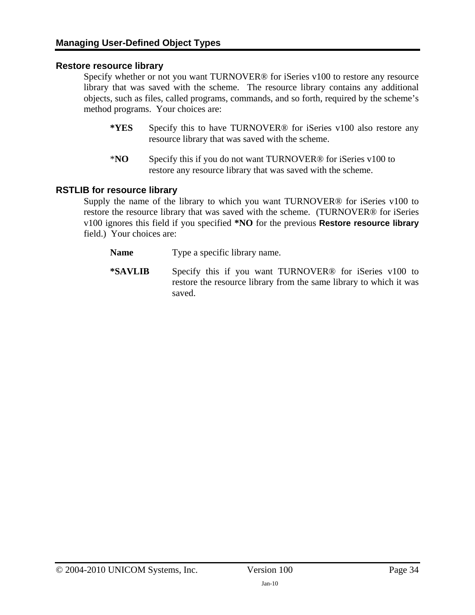#### **Restore resource library**

Specify whether or not you want TURNOVER® for iSeries v100 to restore any resource library that was saved with the scheme. The resource library contains any additional objects, such as files, called programs, commands, and so forth, required by the scheme's method programs. Your choices are:

- **\*YES** Specify this to have TURNOVER® for iSeries v100 also restore any resource library that was saved with the scheme.
- \***NO** Specify this if you do not want TURNOVER® for iSeries v100 to restore any resource library that was saved with the scheme.

#### **RSTLIB for resource library**

Supply the name of the library to which you want TURNOVER® for iSeries v100 to restore the resource library that was saved with the scheme. (TURNOVER® for iSeries v100 ignores this field if you specified **\*NO** for the previous **Restore resource library** field.) Your choices are:

- **Name** Type a specific library name.
- **\*SAVLIB** Specify this if you want TURNOVER® for iSeries v100 to restore the resource library from the same library to which it was saved.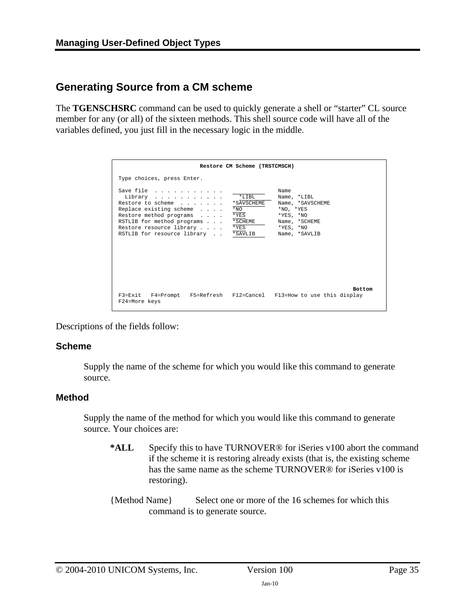## <span id="page-34-1"></span><span id="page-34-0"></span>**Generating Source from a CM scheme**

The **TGENSCHSRC** command can be used to quickly generate a shell or "starter" CL source member for any (or all) of the sixteen methods. This shell source code will have all of the variables defined, you just fill in the necessary logic in the middle.

|                                                                                                                                                                                                       | Restore CM Scheme (TRSTCMSCH)                                                                                                                                                                           |
|-------------------------------------------------------------------------------------------------------------------------------------------------------------------------------------------------------|---------------------------------------------------------------------------------------------------------------------------------------------------------------------------------------------------------|
| Type choices, press Enter.                                                                                                                                                                            |                                                                                                                                                                                                         |
| Save file<br>Library<br>Restore to scheme<br>Replace existing scheme<br>Restore method programs<br>RSTLIB for method programs<br>Restore resource library *YES<br>RSTLIB for resource library *SAVLIB | Name<br>$*$ T. T B T.<br>Name, *LIBL<br>*SAVSCHEME<br>Name, *SAVSCHEME<br>$*_{NO}$<br>$*_{\rm NO}$ , $*_{\rm YES}$<br>*YES<br>*YES, *NO<br>*SCHEME<br>Name, *SCHEME<br>$*$ YES, $*$ NO<br>Name, *SAVLIB |
| F24=More keys                                                                                                                                                                                         | <b>Bottom</b><br>F3=Exit F4=Prompt F5=Refresh F12=Cancel F13=How to use this display                                                                                                                    |

Descriptions of the fields follow:

#### **Scheme**

Supply the name of the scheme for which you would like this command to generate source.

#### **Method**

Supply the name of the method for which you would like this command to generate source. Your choices are:

- **\*ALL** Specify this to have TURNOVER® for iSeries v100 abort the command if the scheme it is restoring already exists (that is, the existing scheme has the same name as the scheme TURNOVER® for iSeries v100 is restoring).
- {Method Name} Select one or more of the 16 schemes for which this command is to generate source.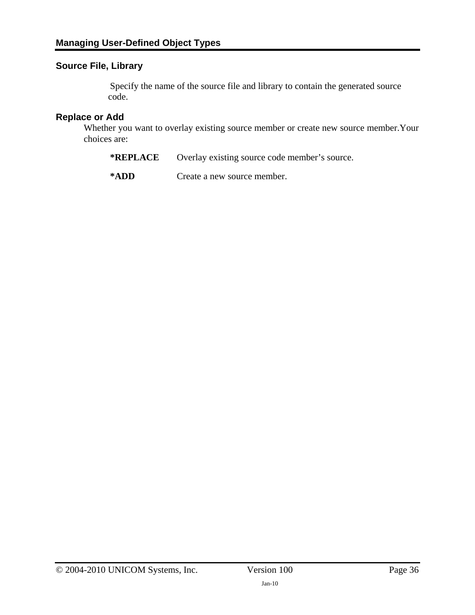### **Source File, Library**

Specify the name of the source file and library to contain the generated source code.

#### **Replace or Add**

Whether you want to overlay existing source member or create new source member.Your choices are:

| *REPLACE |  |  | Overlay existing source code member's source. |
|----------|--|--|-----------------------------------------------|
|----------|--|--|-----------------------------------------------|

**\*ADD** Create a new source member.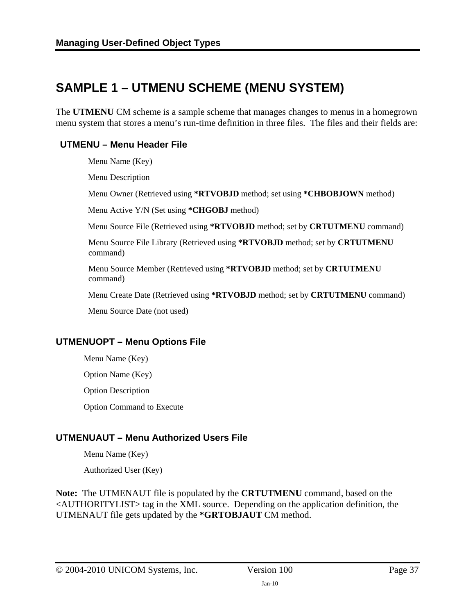# <span id="page-36-2"></span><span id="page-36-1"></span><span id="page-36-0"></span>**SAMPLE 1 – UTMENU SCHEME (MENU SYSTEM)**

The **UTMENU** CM scheme is a sample scheme that manages changes to menus in a homegrown menu system that stores a menu's run-time definition in three files. The files and their fields are:

### **UTMENU – Menu Header File**

Menu Name (Key)

Menu Description

Menu Owner (Retrieved using **\*RTVOBJD** method; set using **\*CHBOBJOWN** method)

Menu Active Y/N (Set using **\*CHGOBJ** method)

Menu Source File (Retrieved using **\*RTVOBJD** method; set by **CRTUTMENU** command)

 Menu Source File Library (Retrieved using **\*RTVOBJD** method; set by **CRTUTMENU** command)

 Menu Source Member (Retrieved using **\*RTVOBJD** method; set by **CRTUTMENU** command)

Menu Create Date (Retrieved using **\*RTVOBJD** method; set by **CRTUTMENU** command)

Menu Source Date (not used)

### **UTMENUOPT – Menu Options File**

 Menu Name (Key) Option Name (Key)

Option Description

Option Command to Execute

### **UTMENUAUT – Menu Authorized Users File**

Menu Name (Key)

Authorized User (Key)

**Note:** The UTMENAUT file is populated by the **CRTUTMENU** command, based on the <AUTHORITYLIST> tag in the XML source. Depending on the application definition, the UTMENAUT file gets updated by the **\*GRTOBJAUT** CM method.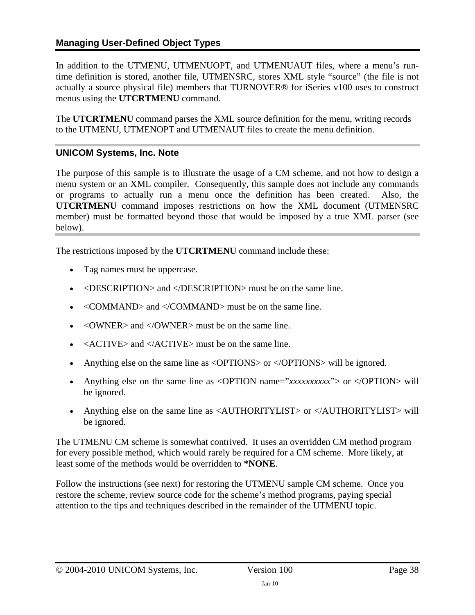### **Managing User-Defined Object Types**

In addition to the UTMENU, UTMENUOPT, and UTMENUAUT files, where a menu's runtime definition is stored, another file, UTMENSRC, stores XML style "source" (the file is not actually a source physical file) members that TURNOVER® for iSeries v100 uses to construct menus using the **UTCRTMENU** command.

<span id="page-37-0"></span>The **UTCRTMENU** command parses the XML source definition for the menu, writing records to the UTMENU, UTMENOPT and UTMENAUT files to create the menu definition.

### **UNICOM Systems, Inc. Note**

The purpose of this sample is to illustrate the usage of a CM scheme, and not how to design a menu system or an XML compiler. Consequently, this sample does not include any commands or programs to actually run a menu once the definition has been created. Also, the **UTCRTMENU** command imposes restrictions on how the XML document (UTMENSRC member) must be formatted beyond those that would be imposed by a true XML parser (see below).

The restrictions imposed by the **UTCRTMENU** command include these:

- Tag names must be uppercase.
- <DESCRIPTION> and </DESCRIPTION> must be on the same line.
- <COMMAND> and </COMMAND> must be on the same line.
- $\langle$  OWNER  $>$  and  $\langle$  OWNER  $>$  must be on the same line.
- $\leq$  ACTIVE> and  $\leq$  ACTIVE> must be on the same line.
- Anything else on the same line as  $\langle$ OPTIONS $>$  or  $\langle$ /OPTIONS $>$  will be ignored.
- Anything else on the same line as <OPTION name="xxxxxxxxxxx"> or </OPTION> will be ignored.
- Anything else on the same line as <AUTHORITYLIST> or </AUTHORITYLIST> will be ignored.

The UTMENU CM scheme is somewhat contrived. It uses an overridden CM method program for every possible method, which would rarely be required for a CM scheme. More likely, at least some of the methods would be overridden to **\*NONE**.

Follow the instructions (see next) for restoring the UTMENU sample CM scheme. Once you restore the scheme, review source code for the scheme's method programs, paying special attention to the tips and techniques described in the remainder of the UTMENU topic.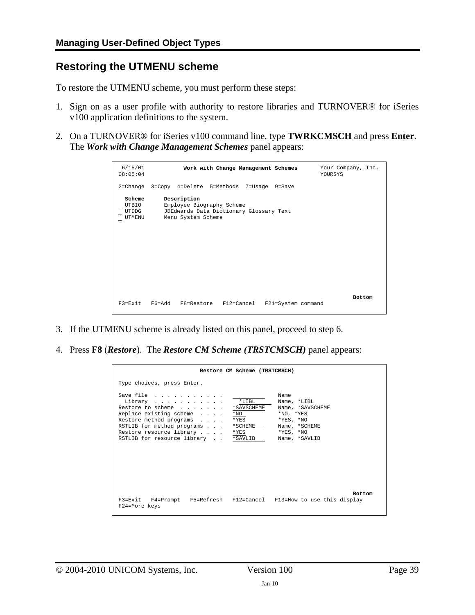### <span id="page-38-1"></span><span id="page-38-0"></span>**Restoring the UTMENU scheme**

To restore the UTMENU scheme, you must perform these steps:

- 1. Sign on as a user profile with authority to restore libraries and TURNOVER® for iSeries v100 application definitions to the system.
- 2. On a TURNOVER® for iSeries v100 command line, type **TWRKCMSCH** and press **Enter**. The *Work with Change Management Schemes* panel appears:

| 6/15/01<br>08:05:04                       | Work with Change Management Schemes                                                                       | Your Company, Inc.<br>YOURSYS |
|-------------------------------------------|-----------------------------------------------------------------------------------------------------------|-------------------------------|
|                                           | 2=Change 3=Copy 4=Delete 5=Methods 7=Usage 9=Save                                                         |                               |
| Scheme<br>UTBIO<br>UTDDG<br><b>UTMENU</b> | Description<br>Employee Biography Scheme<br>JDEdwards Data Dictionary Glossary Text<br>Menu System Scheme |                               |
| $F3 = Fx$ it                              | F6=Add<br>F8=Restore F12=Cancel<br>F21=System command                                                     | <b>Bottom</b>                 |

- 3. If the UTMENU scheme is already listed on this panel, proceed to step 6.
- 4. Press **F8** (*Restore*). The *Restore CM Scheme (TRSTCMSCH)* panel appears:

| Restore CM Scheme (TRSTCMSCH)                                                                                                                                                                                                                                      |                                                                                                                                             |
|--------------------------------------------------------------------------------------------------------------------------------------------------------------------------------------------------------------------------------------------------------------------|---------------------------------------------------------------------------------------------------------------------------------------------|
| Type choices, press Enter.                                                                                                                                                                                                                                         |                                                                                                                                             |
| Save file<br>$*$ LIBL<br>Library<br>Restore to scheme<br>*SAVSCHEME<br>Replace existing scheme<br>$*_{\rm NO}$<br>Restore method programs<br>$*$ YES<br>RSTLIB for method programs *SCHEME<br>Restore resource library *YES<br>RSTLIB for resource library *SAVLIB | Name<br>Name, *LIBL<br>Name, *SAVSCHEME<br>$*_{\rm NO}$ , $*_{\rm YES}$<br>$*$ YES, $*$ NO<br>Name, *SCHEME<br>$*YES, *NO$<br>Name, *SAVLIB |
| F3=Exit F4=Prompt F5=Refresh F12=Cancel F13=How to use this display<br>F24=More keys                                                                                                                                                                               | <b>Bottom</b>                                                                                                                               |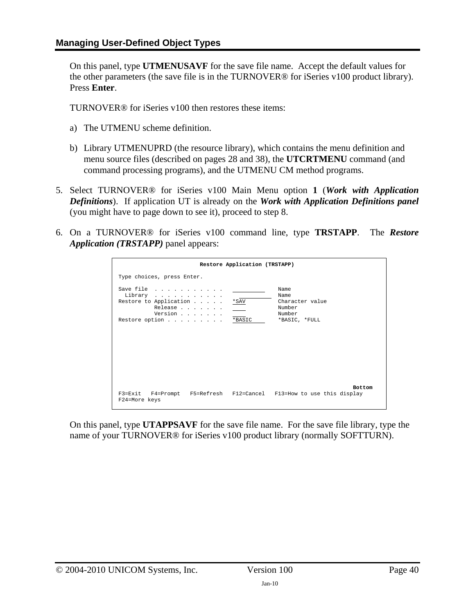On this panel, type **UTMENUSAVF** for the save file name. Accept the default values for the other parameters (the save file is in the TURNOVER® for iSeries v100 product library). Press **Enter**.

TURNOVER® for iSeries v100 then restores these items:

- a) The UTMENU scheme definition.
- b) Library UTMENUPRD (the resource library), which contains the menu definition and menu source files (described on pages [28](#page-36-2) and [38](#page-37-0)), the **UTCRTMENU** command (and command processing programs), and the UTMENU CM method programs.
- 5. Select TURNOVER® for iSeries v100 Main Menu option **1** (*Work with Application Definitions*). If application UT is already on the *Work with Application Definitions panel* (you might have to page down to see it), proceed to step 8.
- 6. On a TURNOVER® for iSeries v100 command line, type **TRSTAPP**. The *Restore Application (TRSTAPP)* panel appears:

|                                                                                        | Restore Application (TRSTAPP) |                                                                                      |
|----------------------------------------------------------------------------------------|-------------------------------|--------------------------------------------------------------------------------------|
| Type choices, press Enter.                                                             |                               |                                                                                      |
| Save file<br>Library<br>Restore to Application<br>Release<br>Version<br>Restore option | $*$ SAV<br>*BASIC             | Name<br>Name<br>Character value<br>Number<br>Number<br>*BASIC, *FULL                 |
| F24=More keys                                                                          |                               | <b>Bottom</b><br>F3=Exit F4=Prompt F5=Refresh F12=Cancel F13=How to use this display |

On this panel, type **UTAPPSAVF** for the save file name. For the save file library, type the name of your TURNOVER® for iSeries v100 product library (normally SOFTTURN).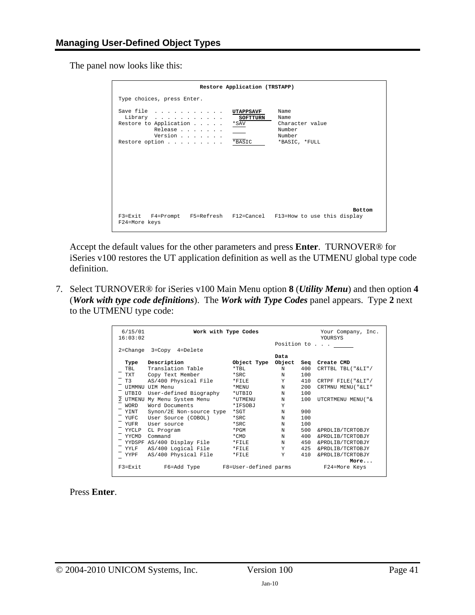The panel now looks like this:

|                                                                                                | Restore Application (TRSTAPP)                                                                                  |
|------------------------------------------------------------------------------------------------|----------------------------------------------------------------------------------------------------------------|
| Type choices, press Enter.                                                                     |                                                                                                                |
| Save file<br>Library<br>Restore to Application<br>*SAV<br>Release<br>Version<br>Restore option | Name<br>UTAPPSAVF<br>Name<br><b>SOFTTURN</b><br>Character value<br>Number<br>Number<br>*BASIC<br>*BASIC, *FULL |
| F24=More keys                                                                                  | <b>Bottom</b><br>F3=Exit F4=Prompt F5=Refresh F12=Cancel F13=How to use this display                           |

Accept the default values for the other parameters and press **Enter**. TURNOVER® for iSeries v100 restores the UT application definition as well as the UTMENU global type code definition.

7. Select TURNOVER® for iSeries v100 Main Menu option **8** (*Utility Menu*) and then option **4**  (*Work with type code definitions*). The *Work with Type Codes* panel appears. Type **2** next to the UTMENU type code:

| 6/15/01<br>16:03:02 |                                   | Work with Type Codes |      |     | Your Company, Inc.<br>YOURSYS |
|---------------------|-----------------------------------|----------------------|------|-----|-------------------------------|
|                     |                                   |                      |      |     | Position to                   |
|                     | 2=Change 3=Copy 4=Delete          |                      | Data |     |                               |
| Type                | Description                       | Object Type Object   |      | Sea | Create CMD                    |
| TBL                 | Translation Table                 | $*$ TBL.             | N    | 400 | CRTTBL TBL("&LI"/             |
| TXT                 | Copy Text Member                  | $*$ SRC              | N    | 100 |                               |
| T3                  | AS/400 Physical File              | $*$ FILE             | Y    | 410 | CRTPF FILE("&LI"/             |
|                     | <b>UTMMNU UTM Menu</b>            | *MENU                | N    | 200 | CRTMNU MENU ("&LI"            |
| UTBIO               | User-defined Biography            | $*$ UTBIO            | N    | 100 |                               |
| 2 UTMENU            | My Menu System Menu               | *UTMENU              | N    | 100 | UTCRTMENU MENU ( " &          |
| <b>WORD</b>         | Word Documents                    | *IFSOBJ              | Y    |     |                               |
| YINT                | Synon/2E Non-source type          | $*_{\text{SGT}}$     | N    | 900 |                               |
| YUFC                | User Source (COBOL)               | $*$ SRC              | N    | 100 |                               |
| YUFR                | User source                       | *SRC                 | N    | 100 |                               |
| YYCLP               | CL Program                        | $*$ PGM              | N    | 500 | &PRDLIB/TCRTOBJY              |
| YYCMD               | Command                           | $*$ CMD              | N    | 400 | &PRDLIB/TCRTOBJY              |
|                     | YYDSPF AS/400 Display File        | $*$ FILE             | N    | 450 | &PRDLIB/TCRTOBJY              |
| YYLF                | AS/400 Logical File               | $*$ FILE             | Y    | 425 | &PRDLIB/TCRTOBJY              |
| YYPF                | AS/400 Physical File              | $*$ FILE             | Y    | 410 | &PRDLIB/TCRTOBJY              |
|                     |                                   |                      |      |     | More                          |
| F3=Exit             | F6=Add Type F8=User-defined parms |                      |      |     | F24=More Keys                 |

Press **Enter**.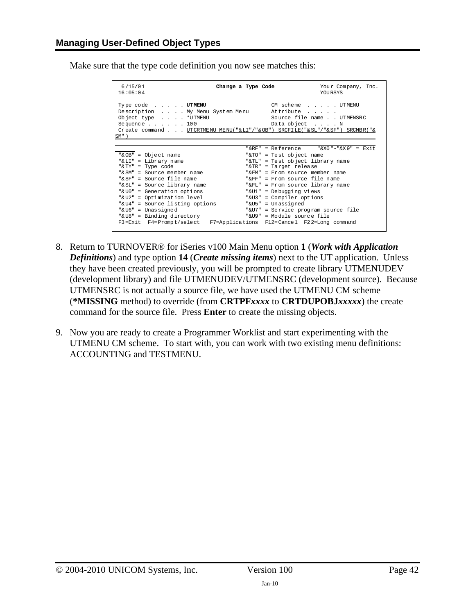Make sure that the type code definition you now see matches this:

| 6/15/01<br>16:05:04                                                                                                                                                                                                                                                                                                                                                                          | Change a Type Code | Your Company, Inc.<br><b>YOURSYS</b>                                                                                                                                                                                                                                                                                                                                                              |
|----------------------------------------------------------------------------------------------------------------------------------------------------------------------------------------------------------------------------------------------------------------------------------------------------------------------------------------------------------------------------------------------|--------------------|---------------------------------------------------------------------------------------------------------------------------------------------------------------------------------------------------------------------------------------------------------------------------------------------------------------------------------------------------------------------------------------------------|
| Type code UTMENU<br>Description My Menu System Menu<br>Object type *UTMENU<br>Sequence $\ldots$ $\ldots$ 100<br>SM")                                                                                                                                                                                                                                                                         |                    | CM scheme UTMENU<br>Attribute<br>Source file name UTMENSRC<br>Data object N<br>Create command UTCRTMENU MENU("&LI"/"&OB") SRCFILE("&SL"/"&SF") SRCMBR("&                                                                                                                                                                                                                                          |
| "& OB" = Object name<br>"&LI" = Library name<br>"& TY" = Type code<br>" $\&$ SM" = Source member name<br>"& SF" = Source file name<br>"& SL" = Source library name<br>"& U0" = Generation options<br>"&U2" = Optimization level<br>"&U4" = Source listing options<br>"&U6" = Unassigned<br>"&U8" = Binding directory<br>F3=Exit F4=Prompt/select F7=Applications F12=Cancel F22=Long command | " & FM "           | "&RF" = Reference $V$ "&X0"-"&X9" = Exit<br>"&TO" = Test object name<br>"&TL" = Test object library name<br>"&TR" = Target release<br>$=$ From source member name<br>" $F$ $F$ " = $F$ rom source file name<br>"&FL" = From source library name<br>"&Ul" = Debugging views<br>"&U3" = Compiler options<br>"&U5" = Unassigned<br>"&U7" = Service program source file<br>"&U9" = Module source file |

- 8. Return to TURNOVER® for iSeries v100 Main Menu option **1** (*Work with Application Definitions*) and type option **14** (*Create missing items*) next to the UT application. Unless they have been created previously, you will be prompted to create library UTMENUDEV (development library) and file UTMENUDEV/UTMENSRC (development source). Because UTMENSRC is not actually a source file, we have used the UTMENU CM scheme (**\*MISSING** method) to override (from **CRTPF***xxxx* to **CRTDUPOBJ***xxxxx*) the create command for the source file. Press **Enter** to create the missing objects.
- 9. Now you are ready to create a Programmer Worklist and start experimenting with the UTMENU CM scheme. To start with, you can work with two existing menu definitions: ACCOUNTING and TESTMENU.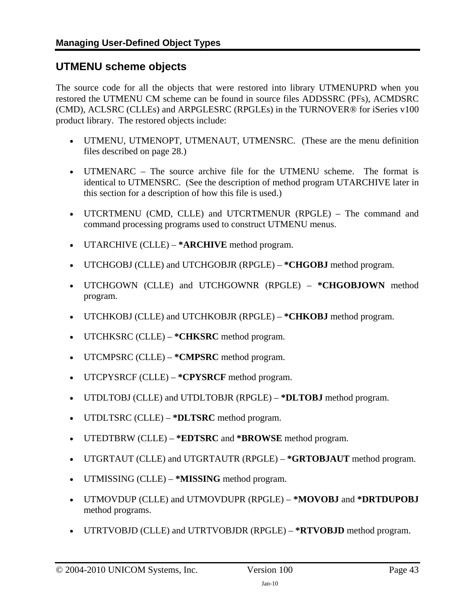### <span id="page-42-1"></span><span id="page-42-0"></span>**UTMENU scheme objects**

The source code for all the objects that were restored into library UTMENUPRD when you restored the UTMENU CM scheme can be found in source files ADDSSRC (PFs), ACMDSRC (CMD), ACLSRC (CLLEs) and ARPGLESRC (RPGLEs) in the TURNOVER® for iSeries v100 product library. The restored objects include:

- UTMENU, UTMENOPT, UTMENAUT, UTMENSRC. (These are the menu definition files described on page [28](#page-36-2).)
- UTMENARC The source archive file for the UTMENU scheme. The format is identical to UTMENSRC. (See the description of method program UTARCHIVE later in this section for a description of how this file is used.)
- UTCRTMENU (CMD, CLLE) and UTCRTMENUR (RPGLE) The command and command processing programs used to construct UTMENU menus.
- UTARCHIVE (CLLE) **\*ARCHIVE** method program.
- UTCHGOBJ (CLLE) and UTCHGOBJR (RPGLE) **\*CHGOBJ** method program.
- UTCHGOWN (CLLE) and UTCHGOWNR (RPGLE) **\*CHGOBJOWN** method program.
- UTCHKOBJ (CLLE) and UTCHKOBJR (RPGLE) **\*CHKOBJ** method program.
- UTCHKSRC (CLLE) **\*CHKSRC** method program.
- UTCMPSRC (CLLE) **\*CMPSRC** method program.
- UTCPYSRCF (CLLE) **\*CPYSRCF** method program.
- UTDLTOBJ (CLLE) and UTDLTOBJR (RPGLE) **\*DLTOBJ** method program.
- UTDLTSRC (CLLE) **\*DLTSRC** method program.
- UTEDTBRW (CLLE) **\*EDTSRC** and **\*BROWSE** method program.
- UTGRTAUT (CLLE) and UTGRTAUTR (RPGLE) **\*GRTOBJAUT** method program.
- UTMISSING (CLLE) **\*MISSING** method program.
- UTMOVDUP (CLLE) and UTMOVDUPR (RPGLE) **\*MOVOBJ** and **\*DRTDUPOBJ** method programs.
- UTRTVOBJD (CLLE) and UTRTVOBJDR (RPGLE) **\*RTVOBJD** method program.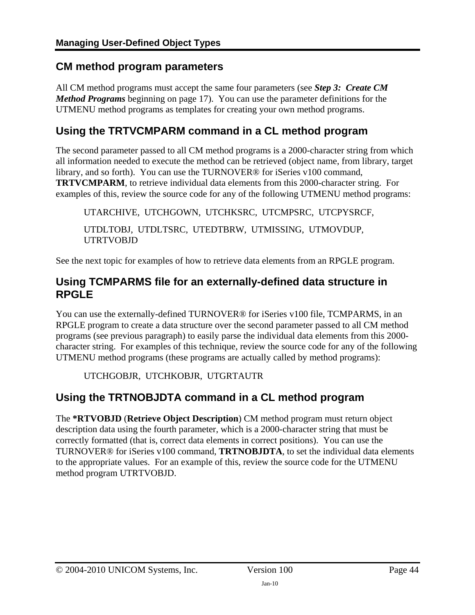### <span id="page-43-1"></span><span id="page-43-0"></span>**CM method program parameters**

All CM method programs must accept the same four parameters (see *[Step 3: Create CM](#page-16-1)  [Method Programs](#page-16-1)* beginning on page [17\)](#page-16-1). You can use the parameter definitions for the UTMENU method programs as templates for creating your own method programs.

# <span id="page-43-2"></span>**Using the TRTVCMPARM command in a CL method program**

The second parameter passed to all CM method programs is a 2000-character string from which all information needed to execute the method can be retrieved (object name, from library, target library, and so forth). You can use the TURNOVER® for iSeries v100 command, **TRTVCMPARM**, to retrieve individual data elements from this 2000-character string. For examples of this, review the source code for any of the following UTMENU method programs:

UTARCHIVE, UTCHGOWN, UTCHKSRC, UTCMPSRC, UTCPYSRCF, UTDLTOBJ, UTDLTSRC, UTEDTBRW, UTMISSING, UTMOVDUP, UTRTVOBJD

See the next topic for examples of how to retrieve data elements from an RPGLE program.

## <span id="page-43-3"></span>**Using TCMPARMS file for an externally-defined data structure in RPGLE**

You can use the externally-defined TURNOVER® for iSeries v100 file, TCMPARMS, in an RPGLE program to create a data structure over the second parameter passed to all CM method programs (see previous paragraph) to easily parse the individual data elements from this 2000 character string. For examples of this technique, review the source code for any of the following UTMENU method programs (these programs are actually called by method programs):

UTCHGOBJR, UTCHKOBJR, UTGRTAUTR

# <span id="page-43-4"></span>**Using the TRTNOBJDTA command in a CL method program**

The **\*RTVOBJD** (**Retrieve Object Description**) CM method program must return object description data using the fourth parameter, which is a 2000-character string that must be correctly formatted (that is, correct data elements in correct positions). You can use the TURNOVER® for iSeries v100 command, **TRTNOBJDTA**, to set the individual data elements to the appropriate values. For an example of this, review the source code for the UTMENU method program UTRTVOBJD.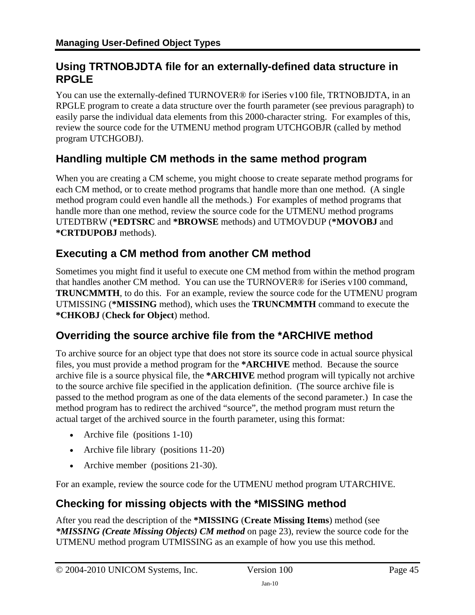# <span id="page-44-1"></span><span id="page-44-0"></span>**Using TRTNOBJDTA file for an externally-defined data structure in RPGLE**

You can use the externally-defined TURNOVER<sup>®</sup> for iSeries v100 file, TRTNOBJDTA, in an RPGLE program to create a data structure over the fourth parameter (see previous paragraph) to easily parse the individual data elements from this 2000-character string. For examples of this, review the source code for the UTMENU method program UTCHGOBJR (called by method program UTCHGOBJ).

## <span id="page-44-2"></span>**Handling multiple CM methods in the same method program**

When you are creating a CM scheme, you might choose to create separate method programs for each CM method, or to create method programs that handle more than one method. (A single method program could even handle all the methods.) For examples of method programs that handle more than one method, review the source code for the UTMENU method programs UTEDTBRW (**\*EDTSRC** and **\*BROWSE** methods) and UTMOVDUP (**\*MOVOBJ** and **\*CRTDUPOBJ** methods).

## <span id="page-44-3"></span>**Executing a CM method from another CM method**

Sometimes you might find it useful to execute one CM method from within the method program that handles another CM method. You can use the TURNOVER® for iSeries v100 command, **TRUNCMMTH**, to do this. For an example, review the source code for the UTMENU program UTMISSING (**\*MISSING** method), which uses the **TRUNCMMTH** command to execute the **\*CHKOBJ** (**Check for Object**) method.

### <span id="page-44-4"></span>**Overriding the source archive file from the \*ARCHIVE method**

To archive source for an object type that does not store its source code in actual source physical files, you must provide a method program for the **\*ARCHIVE** method. Because the source archive file is a source physical file, the **\*ARCHIVE** method program will typically not archive to the source archive file specified in the application definition. (The source archive file is passed to the method program as one of the data elements of the second parameter.) In case the method program has to redirect the archived "source", the method program must return the actual target of the archived source in the fourth parameter, using this format:

- Archive file (positions 1-10)
- Archive file library (positions 11-20)
- Archive member (positions 21-30).

For an example, review the source code for the UTMENU method program UTARCHIVE.

### <span id="page-44-5"></span>**Checking for missing objects with the \*MISSING method**

After you read the description of the **\*MISSING** (**Create Missing Items**) method (see *[\\*MISSING \(Create Missing Objects\) CM method](#page-22-0)* on page [23\)](#page-22-0), review the source code for the UTMENU method program UTMISSING as an example of how you use this method.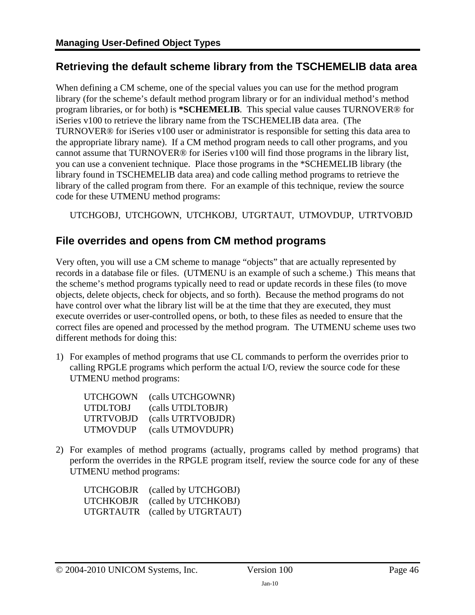## <span id="page-45-1"></span><span id="page-45-0"></span>**Retrieving the default scheme library from the TSCHEMELIB data area**

When defining a CM scheme, one of the special values you can use for the method program library (for the scheme's default method program library or for an individual method's method program libraries, or for both) is **\*SCHEMELIB**. This special value causes TURNOVER® for iSeries v100 to retrieve the library name from the TSCHEMELIB data area. (The TURNOVER® for iSeries v100 user or administrator is responsible for setting this data area to the appropriate library name). If a CM method program needs to call other programs, and you cannot assume that TURNOVER® for iSeries v100 will find those programs in the library list, you can use a convenient technique. Place those programs in the \*SCHEMELIB library (the library found in TSCHEMELIB data area) and code calling method programs to retrieve the library of the called program from there. For an example of this technique, review the source code for these UTMENU method programs:

UTCHGOBJ, UTCHGOWN, UTCHKOBJ, UTGRTAUT, UTMOVDUP, UTRTVOBJD

### <span id="page-45-2"></span>**File overrides and opens from CM method programs**

Very often, you will use a CM scheme to manage "objects" that are actually represented by records in a database file or files. (UTMENU is an example of such a scheme.) This means that the scheme's method programs typically need to read or update records in these files (to move objects, delete objects, check for objects, and so forth). Because the method programs do not have control over what the library list will be at the time that they are executed, they must execute overrides or user-controlled opens, or both, to these files as needed to ensure that the correct files are opened and processed by the method program. The UTMENU scheme uses two different methods for doing this:

1) For examples of method programs that use CL commands to perform the overrides prior to calling RPGLE programs which perform the actual I/O, review the source code for these UTMENU method programs:

| UTCHGOWN  | (calls UTCHGOWNR)  |
|-----------|--------------------|
| UTDLTOBJ  | (calls UTDLTOBJR)  |
| UTRTVOBJD | (calls UTRTVOBJDR) |
| UTMOVDUP  | (calls UTMOVDUPR)  |

2) For examples of method programs (actually, programs called by method programs) that perform the overrides in the RPGLE program itself, review the source code for any of these UTMENU method programs:

| UTCHGOBJR | (called by UTCHGOBJ) |
|-----------|----------------------|
| UTCHKOBJR | (called by UTCHKOBJ) |
| UTGRTAUTR | (called by UTGRTAUT) |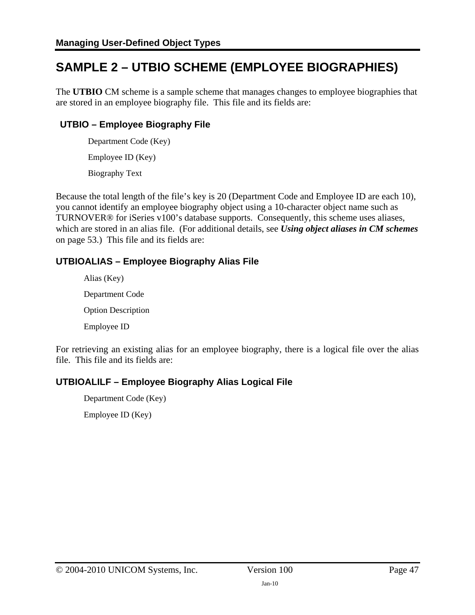# <span id="page-46-1"></span><span id="page-46-0"></span>**SAMPLE 2 – UTBIO SCHEME (EMPLOYEE BIOGRAPHIES)**

The **UTBIO** CM scheme is a sample scheme that manages changes to employee biographies that are stored in an employee biography file. This file and its fields are:

### **UTBIO – Employee Biography File**

 Department Code (Key) Employee ID (Key) Biography Text

Because the total length of the file's key is 20 (Department Code and Employee ID are each 10), you cannot identify an employee biography object using a 10-character object name such as TURNOVER® for iSeries v100's database supports. Consequently, this scheme uses aliases, which are stored in an alias file. (For additional details, see *[Using object aliases in CM schemes](#page-52-2)* on page [53.](#page-52-2)) This file and its fields are:

### **UTBIOALIAS – Employee Biography Alias File**

 Alias (Key) Department Code Option Description Employee ID

For retrieving an existing alias for an employee biography, there is a logical file over the alias file. This file and its fields are:

### **UTBIOALILF – Employee Biography Alias Logical File**

 Department Code (Key) Employee ID (Key)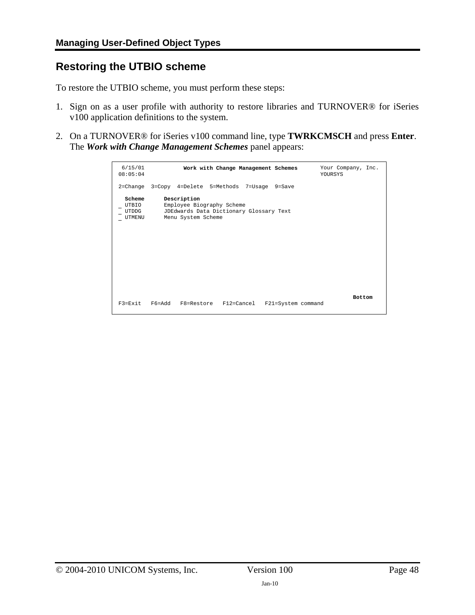### <span id="page-47-1"></span><span id="page-47-0"></span>**Restoring the UTBIO scheme**

To restore the UTBIO scheme, you must perform these steps:

- 1. Sign on as a user profile with authority to restore libraries and TURNOVER® for iSeries v100 application definitions to the system.
- 2. On a TURNOVER® for iSeries v100 command line, type **TWRKCMSCH** and press **Enter**. The *Work with Change Management Schemes* panel appears:

| 6/15/01<br>08:05:04                | Work with Change Management Schemes                                                                       | Your Company, Inc.<br>YOURSYS       |
|------------------------------------|-----------------------------------------------------------------------------------------------------------|-------------------------------------|
|                                    | 2=Change 3=Copy 4=Delete 5=Methods 7=Usage 9=Save                                                         |                                     |
| Scheme<br>UTBIO<br>UTDDG<br>UTMENU | Description<br>Employee Biography Scheme<br>JDEdwards Data Dictionary Glossary Text<br>Menu System Scheme |                                     |
| F3=Exit                            | F6=Add<br>F8=Restore F12=Cancel                                                                           | <b>Bottom</b><br>F21=System command |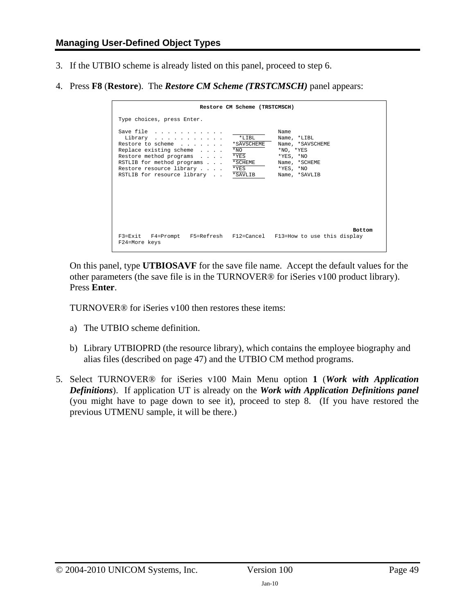- <span id="page-48-0"></span>3. If the UTBIO scheme is already listed on this panel, proceed to step 6.
- 4. Press **F8** (**Restore**). The *Restore CM Scheme (TRSTCMSCH)* panel appears:

|                                                                                                                                                                                                          | Restore CM Scheme (TRSTCMSCH)                                |                                                                                                                              |
|----------------------------------------------------------------------------------------------------------------------------------------------------------------------------------------------------------|--------------------------------------------------------------|------------------------------------------------------------------------------------------------------------------------------|
| Type choices, press Enter.                                                                                                                                                                               |                                                              |                                                                                                                              |
| Save file<br>Library<br>Restore to scheme<br>Replace existing scheme<br>Restore method programs<br>RSTLIB for method programs *SCHEME<br>Restore resource library<br>RSTLIB for resource library *SAVLIB | $*$ LTBL<br>*SAVSCHEME<br>$*_{\rm NO}$<br>$*$ YES<br>$*$ YES | Name<br>Name, *LIBL<br>Name, *SAVSCHEME<br>*NO, *YES<br>$*$ YES, $*$ NO<br>Name, *SCHEME<br>$*$ YES, $*$ NO<br>Name, *SAVLIB |
| F3=Exit F4=Prompt F5=Refresh F12=Cancel F13=How to use this display<br>F24=More keys                                                                                                                     |                                                              | <b>Bottom</b>                                                                                                                |

On this panel, type **UTBIOSAVF** for the save file name. Accept the default values for the other parameters (the save file is in the TURNOVER® for iSeries v100 product library). Press **Enter**.

TURNOVER® for iSeries v100 then restores these items:

- a) The UTBIO scheme definition.
- b) Library UTBIOPRD (the resource library), which contains the employee biography and alias files (described on page [47\)](#page-46-1) and the UTBIO CM method programs.
- 5. Select TURNOVER® for iSeries v100 Main Menu option **1** (*Work with Application Definitions*). If application UT is already on the *Work with Application Definitions panel* (you might have to page down to see it), proceed to step 8. (If you have restored the previous UTMENU sample, it will be there.)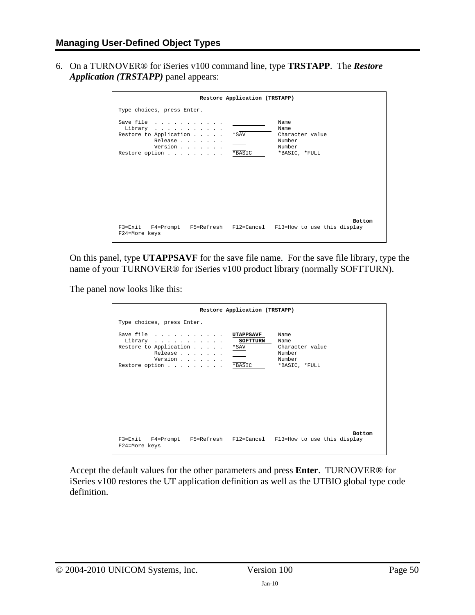6. On a TURNOVER® for iSeries v100 command line, type **TRSTAPP**. The *Restore Application (TRSTAPP)* panel appears:

|                                                                                                | Restore Application (TRSTAPP) |                                                                      |
|------------------------------------------------------------------------------------------------|-------------------------------|----------------------------------------------------------------------|
| Type choices, press Enter.                                                                     |                               |                                                                      |
| Save file<br>Library<br>Restore to Application<br>Release<br>Version<br>Restore option * BASIC | *SAV                          | Name<br>Name<br>Character value<br>Number<br>Number<br>*BASIC, *FULL |
| F3=Exit F4=Prompt F5=Refresh F12=Cancel F13=How to use this display<br>F24=More keys           |                               | <b>Bottom</b>                                                        |

On this panel, type **UTAPPSAVF** for the save file name. For the save file library, type the name of your TURNOVER® for iSeries v100 product library (normally SOFTTURN).

The panel now looks like this:

| Restore Application (TRSTAPP)                                                                                                |                                                                      |  |  |
|------------------------------------------------------------------------------------------------------------------------------|----------------------------------------------------------------------|--|--|
| Type choices, press Enter.                                                                                                   |                                                                      |  |  |
| Save file<br>UTAPPSAVF<br>SOFTTURN<br>Library<br>Restore to Application *SAV<br>Release<br>Version<br>Restore option * BASIC | Name<br>Name<br>Character value<br>Number<br>Number<br>*BASIC, *FULL |  |  |
| F3=Exit F4=Prompt F5=Refresh F12=Cancel F13=How to use this display<br>F24=More keys                                         | <b>Bottom</b>                                                        |  |  |

Accept the default values for the other parameters and press **Enter**. TURNOVER® for iSeries v100 restores the UT application definition as well as the UTBIO global type code definition.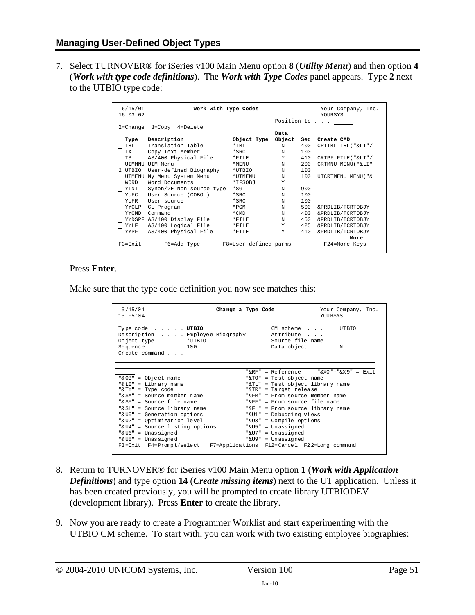7. Select TURNOVER® for iSeries v100 Main Menu option **8** (*Utility Menu*) and then option **4** (*Work with type code definitions*). The *Work with Type Codes* panel appears. Type **2** next to the UTBIO type code:

| 6/15/01<br>16:03:02 |                            | Work with Type Codes  |            |     | Your Company, Inc.<br><b>YOURSYS</b> |
|---------------------|----------------------------|-----------------------|------------|-----|--------------------------------------|
|                     |                            |                       |            |     | Position to                          |
|                     | 2=Change 3=Copy 4=Delete   |                       |            |     |                                      |
|                     |                            |                       | Data       |     |                                      |
| Type                | Description                | Object Type           | Object     | Sea | Create CMD                           |
| TBL                 | Translation Table          | $*$ TBL               | N          | 400 | CRTTBL TBL("&LI"/                    |
| <b>TXT</b>          | Copy Text Member           | $*$ SRC               | $_{\rm N}$ | 100 |                                      |
| T3                  | AS/400 Physical File       | $*$ FILE              | Y          | 410 | CRTPF FILE("&LI"/                    |
|                     | <b>UTMMNU UTM Menu</b>     | *MENU                 | N          | 200 | CRTMNU MENU ( "&LI"                  |
| 2 UTBIO             | User-defined Biography     | *UTBIO                | N          | 100 |                                      |
| <b>UTMENU</b>       | My Menu System Menu        | *UTMENU               | N          | 100 | UTCRTMENU MENU ( " &                 |
| <b>WORD</b>         | Word Documents             | *TFSOBJ               | Y          |     |                                      |
| YINT                | Synon/2E Non-source type   | $*$ SGT               | N          | 900 |                                      |
| YUFC                | User Source (COBOL)        | $*$ SRC               | N          | 100 |                                      |
| YUFR                | User source                | $*$ SRC               | N          | 100 |                                      |
| YYCLP               | CL Program                 | $*$ PGM               | N          | 500 | &PRDLIB/TCRTOBJY                     |
| YYCMD               | Command                    | $*$ CMD               | N          | 400 | &PRDLIB/TCRTOBJY                     |
|                     | YYDSPF AS/400 Display File | *FILE                 | N          | 450 | &PRDLIB/TCRTOBJY                     |
|                     | YYLF AS/400 Logical File   | $*$ FILE              | Y          | 425 | &PRDLIB/TCRTOBJY                     |
|                     | YYPF AS/400 Physical File  | *FILE                 | Y          | 410 | &PRDLIB/TCRTOBJY                     |
|                     |                            |                       |            |     | More                                 |
| F3=Exit             | F6=Add Type                | F8=User-defined parms |            |     | F24=More Keys                        |

#### Press **Enter**.

Make sure that the type code definition you now see matches this:

| 6/15/01<br>16:05:04                                                                                                                                  | Change a Type Code |                                                                     | Your Company, Inc.<br>YOURSYS            |
|------------------------------------------------------------------------------------------------------------------------------------------------------|--------------------|---------------------------------------------------------------------|------------------------------------------|
| Type code UTBIO<br>Description Employee Biography<br>Object type $\ldots$ $*$ UTBIO<br>Sequence $\ldots$ , $\ldots$ , 100<br>Create command $\ldots$ |                    | CM scheme UTBIO<br>Attribute<br>Source file name<br>Data object N   |                                          |
| "&OB" = Object name                                                                                                                                  |                    | "&TO" = Test object name                                            | "&RF" = Reference $V$ "&X0"-"&X9" = Exit |
| "& LI" = Library name<br>"& TY" = Type code                                                                                                          |                    | "&TL" = Test object library name<br>"&TR" = Target release          |                                          |
| " $%$ SM" = Source member name<br>"& SF" = Source file name                                                                                          | " & FM "           | = From source member name<br>"&FF" = From source file name          |                                          |
| "& SL" = Source library name<br>"&U0" = Generation options                                                                                           |                    | "&FL" = From source library name<br>"&Ul" = Debugging views         |                                          |
| "&U2" = Optimization level<br>"&U4" = Source listing options<br>" $&U6" = Unassigned$                                                                |                    | "&U3" = Compile options<br>"&U5" = Unassigned<br>"&U7" = Unassigned |                                          |
| "&U8" = Unassigned<br>F3=Exit F4=Prompt/select F7=Applications F12=Cancel F22=Long command                                                           |                    | "&U9" = Unassigned                                                  |                                          |

- 8. Return to TURNOVER® for iSeries v100 Main Menu option **1** (*Work with Application Definitions*) and type option **14** (*Create missing items*) next to the UT application. Unless it has been created previously, you will be prompted to create library UTBIODEV (development library). Press **Enter** to create the library.
- 9. Now you are ready to create a Programmer Worklist and start experimenting with the UTBIO CM scheme. To start with, you can work with two existing employee biographies: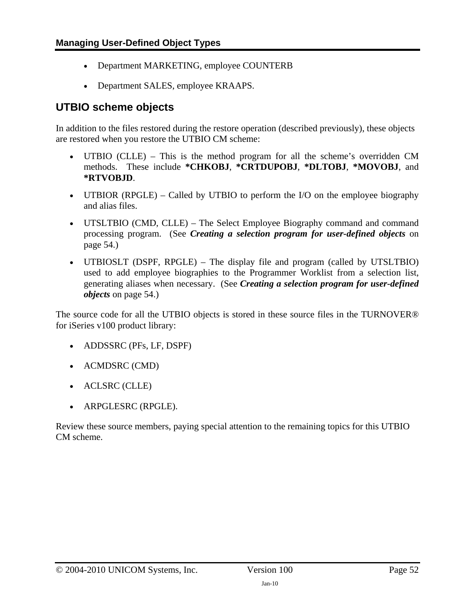- Department MARKETING, employee COUNTERB
- Department SALES, employee KRAAPS.

### <span id="page-51-0"></span>**UTBIO scheme objects**

In addition to the files restored during the restore operation (described previously), these objects are restored when you restore the UTBIO CM scheme:

- UTBIO (CLLE) This is the method program for all the scheme's overridden CM methods. These include **\*CHKOBJ**, **\*CRTDUPOBJ**, **\*DLTOBJ**, **\*MOVOBJ**, and **\*RTVOBJD**.
- UTBIOR (RPGLE) Called by UTBIO to perform the I/O on the employee biography and alias files.
- UTSLTBIO (CMD, CLLE) The Select Employee Biography command and command processing program. (See *[Creating a selection program for user-defined objects](#page-53-1)* on page [54.](#page-53-1))
- UTBIOSLT (DSPF, RPGLE) The display file and program (called by UTSLTBIO) used to add employee biographies to the Programmer Worklist from a selection list, generating aliases when necessary. (See *[Creating a selection program for user-defined](#page-53-1)  [objects](#page-53-1)* on page [54.](#page-53-1))

The source code for all the UTBIO objects is stored in these source files in the TURNOVER® for iSeries v100 product library:

- ADDSSRC (PFs, LF, DSPF)
- ACMDSRC (CMD)
- ACLSRC (CLLE)
- ARPGLESRC (RPGLE).

Review these source members, paying special attention to the remaining topics for this UTBIO CM scheme.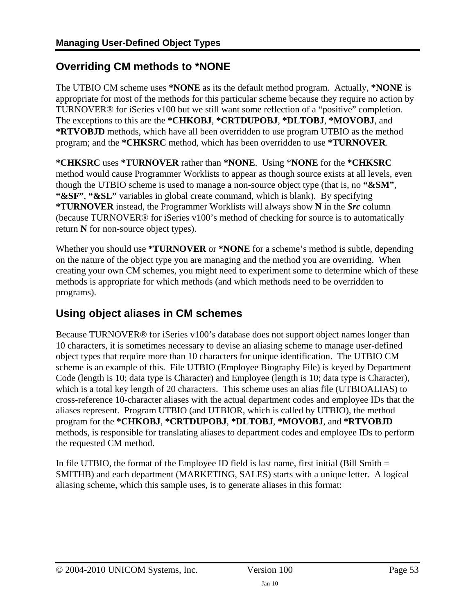# <span id="page-52-1"></span><span id="page-52-0"></span>**Overriding CM methods to \*NONE**

The UTBIO CM scheme uses **\*NONE** as its the default method program. Actually, **\*NONE** is appropriate for most of the methods for this particular scheme because they require no action by TURNOVER® for iSeries v100 but we still want some reflection of a "positive" completion. The exceptions to this are the **\*CHKOBJ**, **\*CRTDUPOBJ**, **\*DLTOBJ**, **\*MOVOBJ**, and **\*RTVOBJD** methods, which have all been overridden to use program UTBIO as the method program; and the **\*CHKSRC** method, which has been overridden to use **\*TURNOVER**.

**\*CHKSRC** uses **\*TURNOVER** rather than **\*NONE**. Using \***NONE** for the **\*CHKSRC** method would cause Programmer Worklists to appear as though source exists at all levels, even though the UTBIO scheme is used to manage a non-source object type (that is, no **"&SM"**, **"&SF"**, **"&SL"** variables in global create command, which is blank). By specifying **\*TURNOVER** instead, the Programmer Worklists will always show **N** in the *Src* column (because TURNOVER® for iSeries v100's method of checking for source is to automatically return **N** for non-source object types).

Whether you should use **\*TURNOVER** or **\*NONE** for a scheme's method is subtle, depending on the nature of the object type you are managing and the method you are overriding. When creating your own CM schemes, you might need to experiment some to determine which of these methods is appropriate for which methods (and which methods need to be overridden to programs).

# <span id="page-52-2"></span>**Using object aliases in CM schemes**

Because TURNOVER® for iSeries v100's database does not support object names longer than 10 characters, it is sometimes necessary to devise an aliasing scheme to manage user-defined object types that require more than 10 characters for unique identification. The UTBIO CM scheme is an example of this. File UTBIO (Employee Biography File) is keyed by Department Code (length is 10; data type is Character) and Employee (length is 10; data type is Character), which is a total key length of 20 characters. This scheme uses an alias file (UTBIOALIAS) to cross-reference 10-character aliases with the actual department codes and employee IDs that the aliases represent. Program UTBIO (and UTBIOR, which is called by UTBIO), the method program for the **\*CHKOBJ**, **\*CRTDUPOBJ**, **\*DLTOBJ**, **\*MOVOBJ**, and **\*RTVOBJD** methods, is responsible for translating aliases to department codes and employee IDs to perform the requested CM method.

In file UTBIO, the format of the Employee ID field is last name, first initial (Bill Smith  $=$ SMITHB) and each department (MARKETING, SALES) starts with a unique letter. A logical aliasing scheme, which this sample uses, is to generate aliases in this format: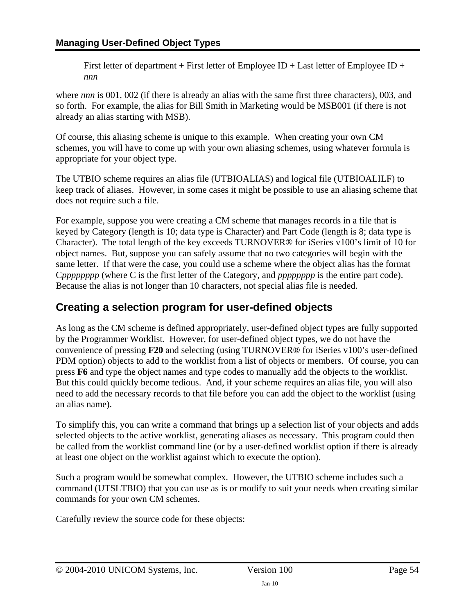<span id="page-53-0"></span>First letter of department + First letter of Employee ID + Last letter of Employee ID + *nnn*

where *nnn* is 001, 002 (if there is already an alias with the same first three characters), 003, and so forth. For example, the alias for Bill Smith in Marketing would be MSB001 (if there is not already an alias starting with MSB).

Of course, this aliasing scheme is unique to this example. When creating your own CM schemes, you will have to come up with your own aliasing schemes, using whatever formula is appropriate for your object type.

The UTBIO scheme requires an alias file (UTBIOALIAS) and logical file (UTBIOALILF) to keep track of aliases. However, in some cases it might be possible to use an aliasing scheme that does not require such a file.

For example, suppose you were creating a CM scheme that manages records in a file that is keyed by Category (length is 10; data type is Character) and Part Code (length is 8; data type is Character). The total length of the key exceeds TURNOVER® for iSeries v100's limit of 10 for object names. But, suppose you can safely assume that no two categories will begin with the same letter. If that were the case, you could use a scheme where the object alias has the format C*pppppppp* (where C is the first letter of the Category, and *pppppppp* is the entire part code). Because the alias is not longer than 10 characters, not special alias file is needed.

# <span id="page-53-1"></span>**Creating a selection program for user-defined objects**

As long as the CM scheme is defined appropriately, user-defined object types are fully supported by the Programmer Worklist. However, for user-defined object types, we do not have the convenience of pressing **F20** and selecting (using TURNOVER® for iSeries v100's user-defined PDM option) objects to add to the worklist from a list of objects or members. Of course, you can press **F6** and type the object names and type codes to manually add the objects to the worklist. But this could quickly become tedious. And, if your scheme requires an alias file, you will also need to add the necessary records to that file before you can add the object to the worklist (using an alias name).

To simplify this, you can write a command that brings up a selection list of your objects and adds selected objects to the active worklist, generating aliases as necessary. This program could then be called from the worklist command line (or by a user-defined worklist option if there is already at least one object on the worklist against which to execute the option).

Such a program would be somewhat complex. However, the UTBIO scheme includes such a command (UTSLTBIO) that you can use as is or modify to suit your needs when creating similar commands for your own CM schemes.

Carefully review the source code for these objects: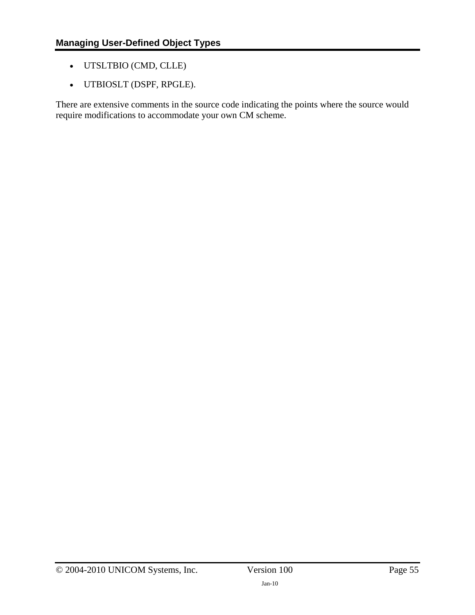- <span id="page-54-0"></span>• UTSLTBIO (CMD, CLLE)
- UTBIOSLT (DSPF, RPGLE).

There are extensive comments in the source code indicating the points where the source would require modifications to accommodate your own CM scheme.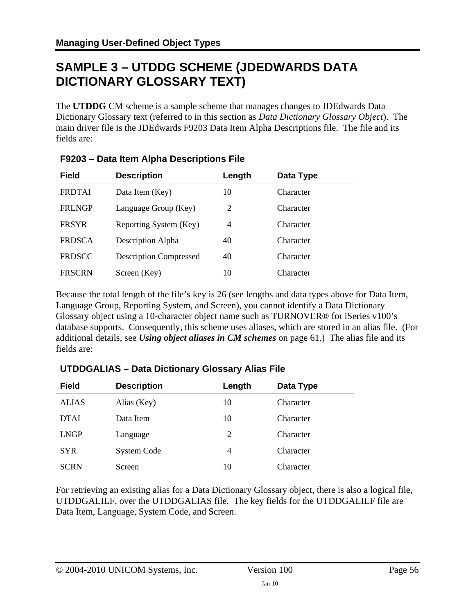# <span id="page-55-0"></span>**SAMPLE 3 – UTDDG SCHEME (JDEDWARDS DATA DICTIONARY GLOSSARY TEXT)**

The **UTDDG** CM scheme is a sample scheme that manages changes to JDEdwards Data Dictionary Glossary text (referred to in this section as *Data Dictionary Glossary Object*). The main driver file is the JDEdwards F9203 Data Item Alpha Descriptions file. The file and its fields are:

| <b>Field</b>  | <b>Description</b>            | Length | Data Type |  |
|---------------|-------------------------------|--------|-----------|--|
| <b>FRDTAI</b> | Data Item (Key)               | 10     | Character |  |
| <b>FRLNGP</b> | Language Group (Key)          | 2      | Character |  |
| <b>FRSYR</b>  | Reporting System (Key)        | 4      | Character |  |
| <b>FRDSCA</b> | Description Alpha             | 40     | Character |  |
| <b>FRDSCC</b> | <b>Description Compressed</b> | 40     | Character |  |
| <b>FRSCRN</b> | Screen (Key)                  | 10     | Character |  |

### **F9203 – Data Item Alpha Descriptions File**

Because the total length of the file's key is 26 (see lengths and data types above for Data Item, Language Group, Reporting System, and Screen), you cannot identify a Data Dictionary Glossary object using a 10-character object name such as TURNOVER® for iSeries v100's database supports. Consequently, this scheme uses aliases, which are stored in an alias file. (For additional details, see *[Using object aliases in CM schemes](#page-60-2)* on page [61.](#page-60-2)) The alias file and its fields are:

# **Field Description Length Data Type**  ALIAS Alias (Key) 10 Character DTAI Data Item 10 Character LNGP Language 2 Character SYR System Code 4 Character SCRN Screen 10 Character

### **UTDDGALIAS – Data Dictionary Glossary Alias File**

For retrieving an existing alias for a Data Dictionary Glossary object, there is also a logical file, UTDDGALILF, over the UTDDGALIAS file. The key fields for the UTDDGALILF file are Data Item, Language, System Code, and Screen.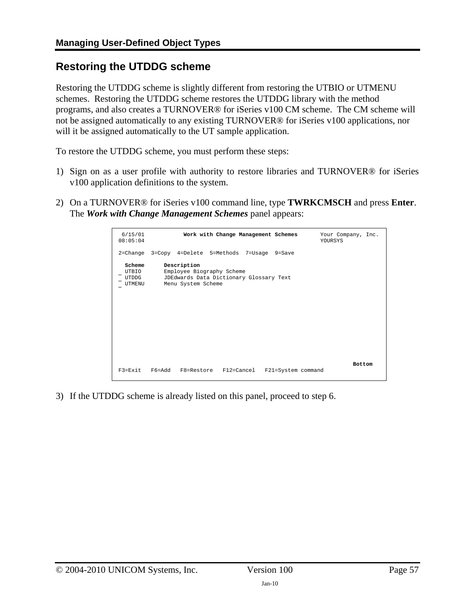# <span id="page-56-1"></span><span id="page-56-0"></span>**Restoring the UTDDG scheme**

Restoring the UTDDG scheme is slightly different from restoring the UTBIO or UTMENU schemes. Restoring the UTDDG scheme restores the UTDDG library with the method programs, and also creates a TURNOVER® for iSeries v100 CM scheme. The CM scheme will not be assigned automatically to any existing TURNOVER® for iSeries v100 applications, nor will it be assigned automatically to the UT sample application.

To restore the UTDDG scheme, you must perform these steps:

- 1) Sign on as a user profile with authority to restore libraries and TURNOVER® for iSeries v100 application definitions to the system.
- 2) On a TURNOVER® for iSeries v100 command line, type **TWRKCMSCH** and press **Enter**. The *Work with Change Management Schemes* panel appears:

| 6/15/01<br>08:05:04                | Work with Change Management Schemes                                                                       | Your Company, Inc.<br>YOURSYS |
|------------------------------------|-----------------------------------------------------------------------------------------------------------|-------------------------------|
|                                    | 2=Change 3=Copy 4=Delete 5=Methods 7=Usage 9=Save                                                         |                               |
| Scheme<br>UTBIO<br>UTDDG<br>UTMENU | Description<br>Employee Biography Scheme<br>JDEdwards Data Dictionary Glossary Text<br>Menu System Scheme |                               |
| $F3 = Exit$                        | F6=Add F8=Restore F12=Cancel<br>F21=System command                                                        | <b>Bottom</b>                 |

3) If the UTDDG scheme is already listed on this panel, proceed to step 6.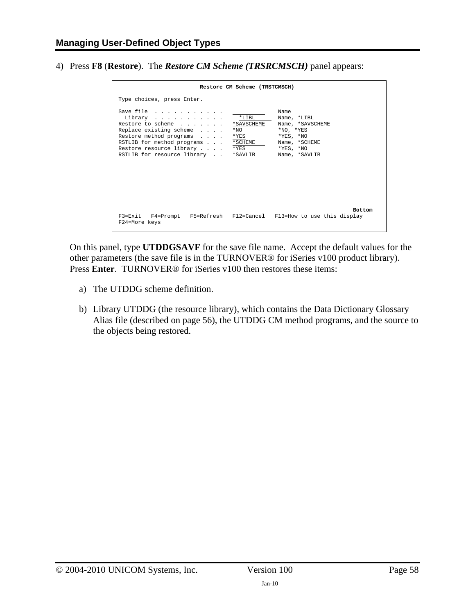<span id="page-57-0"></span>4) Press **F8** (**Restore**). The *Restore CM Scheme (TRSRCMSCH)* panel appears:

|                                                                                                                                                                                          | Restore CM Scheme (TRSTCMSCH)                                                                                                                                                                           |
|------------------------------------------------------------------------------------------------------------------------------------------------------------------------------------------|---------------------------------------------------------------------------------------------------------------------------------------------------------------------------------------------------------|
| Type choices, press Enter.                                                                                                                                                               |                                                                                                                                                                                                         |
| Save file<br>Library<br>Restore to scheme<br>Replace existing scheme<br>Restore method programs<br>RSTLIB for method programs<br>Restore resource library<br>RSTLIB for resource library | Name<br>$*$ LTBL<br>Name, *LIBL<br>*SAVSCHEME<br>Name, *SAVSCHEME<br>$*_{\rm NO}$<br>$*NO. *YES$<br>*YES<br>$*YES, *NO$<br>* SCHEME<br>Name, *SCHEME<br>*YES<br>$*YES, *NO$<br>*SAVLIB<br>Name, *SAVLIB |
| F24=More keys                                                                                                                                                                            | <b>Bottom</b><br>F3=Exit F4=Prompt F5=Refresh F12=Cancel F13=How to use this display                                                                                                                    |

On this panel, type **UTDDGSAVF** for the save file name. Accept the default values for the other parameters (the save file is in the TURNOVER® for iSeries v100 product library). Press **Enter**. TURNOVER® for iSeries v100 then restores these items:

- a) The UTDDG scheme definition.
- b) Library UTDDG (the resource library), which contains the Data Dictionary Glossary Alias file (described on page [56](#page-55-0)), the UTDDG CM method programs, and the source to the objects being restored.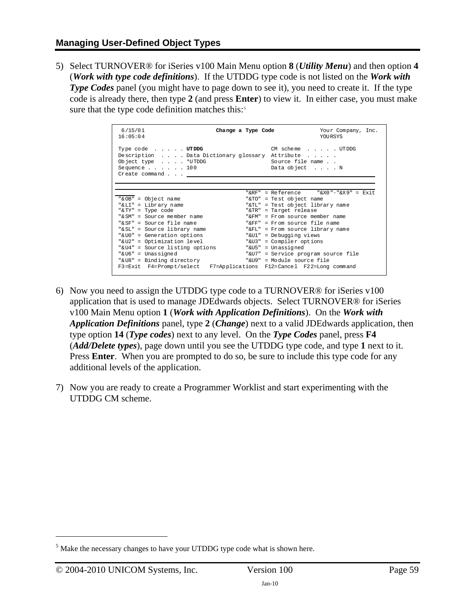5) Select TURNOVER® for iSeries v100 Main Menu option **8** (*Utility Menu*) and then option **4** (*Work with type code definitions*). If the UTDDG type code is not listed on the *Work with Type Codes* panel (you might have to page down to see it), you need to create it. If the type code is already there, then type **2** (and press **Enter**) to view it. In either case, you must make sure that the type code definition matches this:<sup>[5](#page-59-1)</sup>

| 6/15/01<br>16:05:04                                                                                                                                    | Change a Type Code | Your Company, Inc.<br>YOURSYS                                |
|--------------------------------------------------------------------------------------------------------------------------------------------------------|--------------------|--------------------------------------------------------------|
| Type code UTDDG<br>Description Data Dictionary glossary Attribute<br>Object type $\ldots$ . *UTDDG<br>Sequence $\ldots$ $\ldots$ 100<br>Create command |                    | CM scheme UTDDG<br>Source file name<br>Data object N         |
|                                                                                                                                                        |                    | "&RF" = Reference $\sqrt{X0}$ "-"&X9" = Exit                 |
| "& OB" = Object name<br>"& LI" = Library name                                                                                                          |                    | "&TO" = Test object name<br>"&TL" = Test object library name |
| "& TY" = Type code                                                                                                                                     |                    | "&TR" = Target release                                       |
| " $\&$ SM" = Source member name                                                                                                                        |                    | " $\text{F}$ M" = $\text{F}$ rom source member name          |
| "& SF" = Source file name                                                                                                                              |                    | " $F$ FF" = From source file name                            |
| "& SL" = Source library name                                                                                                                           |                    | "&FL" = From source library name                             |
| "& UO" = Generation options                                                                                                                            |                    | "&Ul" = Debugging views                                      |
| "&U2" = Optimization level                                                                                                                             |                    | "&U3" = Compiler options                                     |
| "&U4" = Source listing options                                                                                                                         |                    | "&U5" = Unassigned                                           |
| "& U6" = Unassigned                                                                                                                                    |                    | "&U7" = Service program source file                          |
| "&U8" = Binding directory                                                                                                                              |                    | "&U9" = Module source file                                   |
| F3=Exit F4=Prompt/select F7=Applications F12=Cancel F22=Long command                                                                                   |                    |                                                              |

- 6) Now you need to assign the UTDDG type code to a TURNOVER® for iSeries v100 application that is used to manage JDEdwards objects. Select TURNOVER® for iSeries v100 Main Menu option **1** (*Work with Application Definitions*). On the *Work with Application Definitions* panel, type **2** (*Change*) next to a valid JDEdwards application, then type option **14** (*Type codes*) next to any level. On the *Type Codes* panel, press **F4** (*Add/Delete types*), page down until you see the UTDDG type code, and type **1** next to it. Press **Enter**. When you are prompted to do so, be sure to include this type code for any additional levels of the application.
- 7) Now you are ready to create a Programmer Worklist and start experimenting with the UTDDG CM scheme.

 $\overline{a}$ 

 $<sup>5</sup>$  Make the necessary changes to have your UTDDG type code what is shown here.</sup>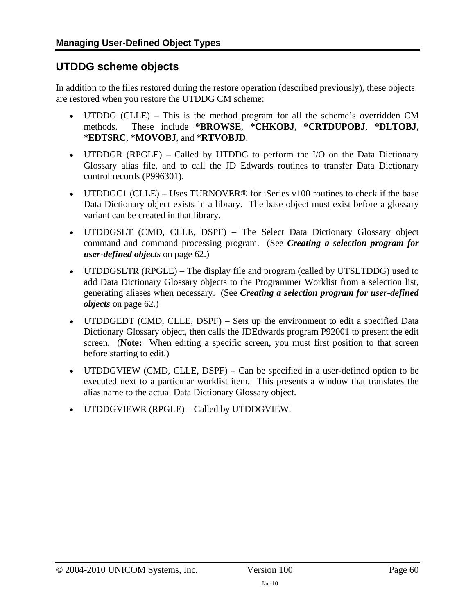## <span id="page-59-0"></span>**UTDDG scheme objects**

In addition to the files restored during the restore operation (described previously), these objects are restored when you restore the UTDDG CM scheme:

- UTDDG (CLLE) This is the method program for all the scheme's overridden CM methods. These include **\*BROWSE**, **\*CHKOBJ**, **\*CRTDUPOBJ**, **\*DLTOBJ**, **\*EDTSRC**, **\*MOVOBJ**, and **\*RTVOBJD**.
- UTDDGR (RPGLE) Called by UTDDG to perform the I/O on the Data Dictionary Glossary alias file, and to call the JD Edwards routines to transfer Data Dictionary control records (P996301).
- UTDDGC1 (CLLE) Uses TURNOVER<sup>®</sup> for iSeries v100 routines to check if the base Data Dictionary object exists in a library. The base object must exist before a glossary variant can be created in that library.
- UTDDGSLT (CMD, CLLE, DSPF) The Select Data Dictionary Glossary object command and command processing program. (See *[Creating a selection program for](#page-61-1)  [user-defined objects](#page-61-1)* on page [62.](#page-61-1))
- UTDDGSLTR (RPGLE) The display file and program (called by UTSLTDDG) used to add Data Dictionary Glossary objects to the Programmer Worklist from a selection list, generating aliases when necessary. (See *[Creating a selection program for user-defined](#page-61-1)  [objects](#page-61-1)* on page [62.](#page-61-1))
- UTDDGEDT (CMD, CLLE, DSPF) Sets up the environment to edit a specified Data Dictionary Glossary object, then calls the JDEdwards program P92001 to present the edit screen. (**Note:** When editing a specific screen, you must first position to that screen before starting to edit.)
- UTDDGVIEW (CMD, CLLE, DSPF) Can be specified in a user-defined option to be executed next to a particular worklist item. This presents a window that translates the alias name to the actual Data Dictionary Glossary object.
- <span id="page-59-1"></span>• UTDDGVIEWR (RPGLE) – Called by UTDDGVIEW.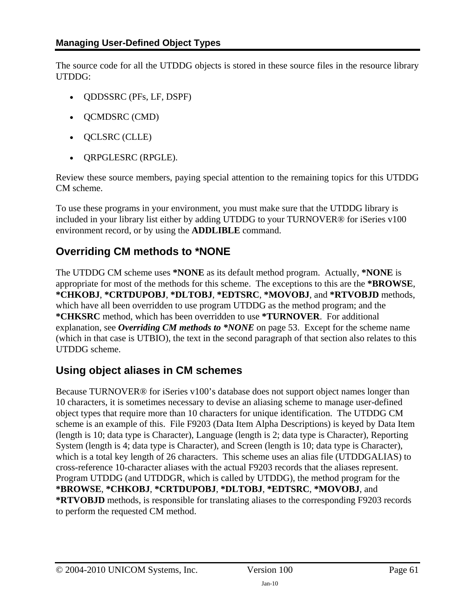<span id="page-60-0"></span>The source code for all the UTDDG objects is stored in these source files in the resource library UTDDG:

- QDDSSRC (PFs, LF, DSPF)
- QCMDSRC (CMD)
- QCLSRC (CLLE)
- QRPGLESRC (RPGLE).

Review these source members, paying special attention to the remaining topics for this UTDDG CM scheme.

To use these programs in your environment, you must make sure that the UTDDG library is included in your library list either by adding UTDDG to your TURNOVER® for iSeries v100 environment record, or by using the **ADDLIBLE** command.

# <span id="page-60-1"></span>**Overriding CM methods to \*NONE**

The UTDDG CM scheme uses **\*NONE** as its default method program. Actually, **\*NONE** is appropriate for most of the methods for this scheme. The exceptions to this are the **\*BROWSE**, **\*CHKOBJ**, **\*CRTDUPOBJ**, **\*DLTOBJ**, **\*EDTSRC**, **\*MOVOBJ**, and **\*RTVOBJD** methods, which have all been overridden to use program UTDDG as the method program; and the **\*CHKSRC** method, which has been overridden to use **\*TURNOVER**. For additional explanation, see *[Overriding CM methods to \\*NONE](#page-52-1)* on page [53.](#page-52-1) Except for the scheme name (which in that case is UTBIO), the text in the second paragraph of that section also relates to this UTDDG scheme.

# <span id="page-60-2"></span>**Using object aliases in CM schemes**

Because TURNOVER® for iSeries v100's database does not support object names longer than 10 characters, it is sometimes necessary to devise an aliasing scheme to manage user-defined object types that require more than 10 characters for unique identification. The UTDDG CM scheme is an example of this. File F9203 (Data Item Alpha Descriptions) is keyed by Data Item (length is 10; data type is Character), Language (length is 2; data type is Character), Reporting System (length is 4; data type is Character), and Screen (length is 10; data type is Character), which is a total key length of 26 characters. This scheme uses an alias file (UTDDGALIAS) to cross-reference 10-character aliases with the actual F9203 records that the aliases represent. Program UTDDG (and UTDDGR, which is called by UTDDG), the method program for the **\*BROWSE**, **\*CHKOBJ**, **\*CRTDUPOBJ**, **\*DLTOBJ**, **\*EDTSRC**, **\*MOVOBJ**, and **\*RTVOBJD** methods, is responsible for translating aliases to the corresponding F9203 records to perform the requested CM method.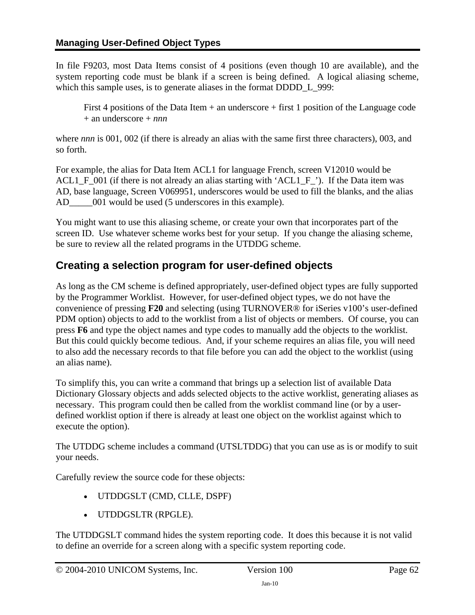<span id="page-61-0"></span>In file F9203, most Data Items consist of 4 positions (even though 10 are available), and the system reporting code must be blank if a screen is being defined. A logical aliasing scheme, which this sample uses, is to generate aliases in the format DDDD L 999:

First 4 positions of the Data Item + an underscore + first 1 position of the Language code + an underscore + *nnn*

where *nnn* is 001, 002 (if there is already an alias with the same first three characters), 003, and so forth.

For example, the alias for Data Item ACL1 for language French, screen V12010 would be ACL1\_F\_001 (if there is not already an alias starting with 'ACL1\_F\_'). If the Data item was AD, base language, Screen V069951, underscores would be used to fill the blanks, and the alias AD  $\qquad$  001 would be used (5 underscores in this example).

You might want to use this aliasing scheme, or create your own that incorporates part of the screen ID. Use whatever scheme works best for your setup. If you change the aliasing scheme, be sure to review all the related programs in the UTDDG scheme.

# <span id="page-61-1"></span>**Creating a selection program for user-defined objects**

As long as the CM scheme is defined appropriately, user-defined object types are fully supported by the Programmer Worklist. However, for user-defined object types, we do not have the convenience of pressing **F20** and selecting (using TURNOVER® for iSeries v100's user-defined PDM option) objects to add to the worklist from a list of objects or members. Of course, you can press **F6** and type the object names and type codes to manually add the objects to the worklist. But this could quickly become tedious. And, if your scheme requires an alias file, you will need to also add the necessary records to that file before you can add the object to the worklist (using an alias name).

To simplify this, you can write a command that brings up a selection list of available Data Dictionary Glossary objects and adds selected objects to the active worklist, generating aliases as necessary. This program could then be called from the worklist command line (or by a userdefined worklist option if there is already at least one object on the worklist against which to execute the option).

The UTDDG scheme includes a command (UTSLTDDG) that you can use as is or modify to suit your needs.

Carefully review the source code for these objects:

- UTDDGSLT (CMD, CLLE, DSPF)
- UTDDGSLTR (RPGLE).

The UTDDGSLT command hides the system reporting code. It does this because it is not valid to define an override for a screen along with a specific system reporting code.